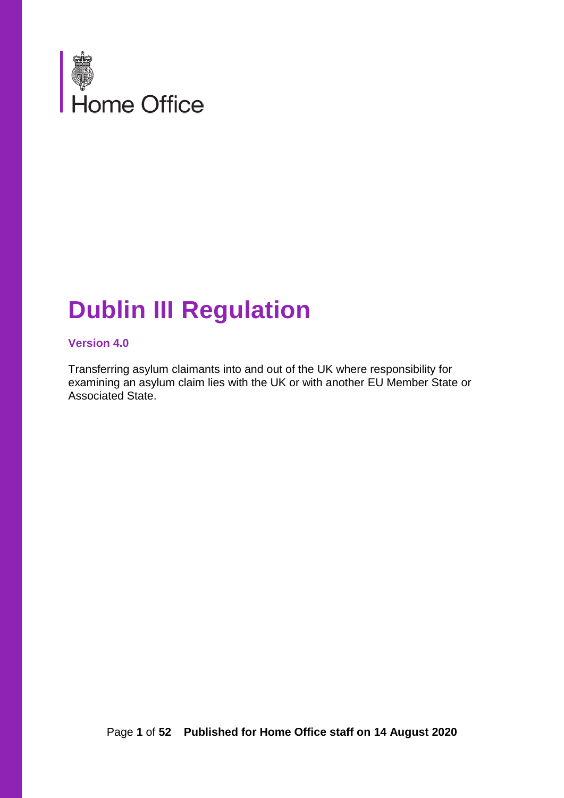

# **Dublin III Regulation**

#### **Version 4.0**

Transferring asylum claimants into and out of the UK where responsibility for examining an asylum claim lies with the UK or with another EU Member State or Associated State.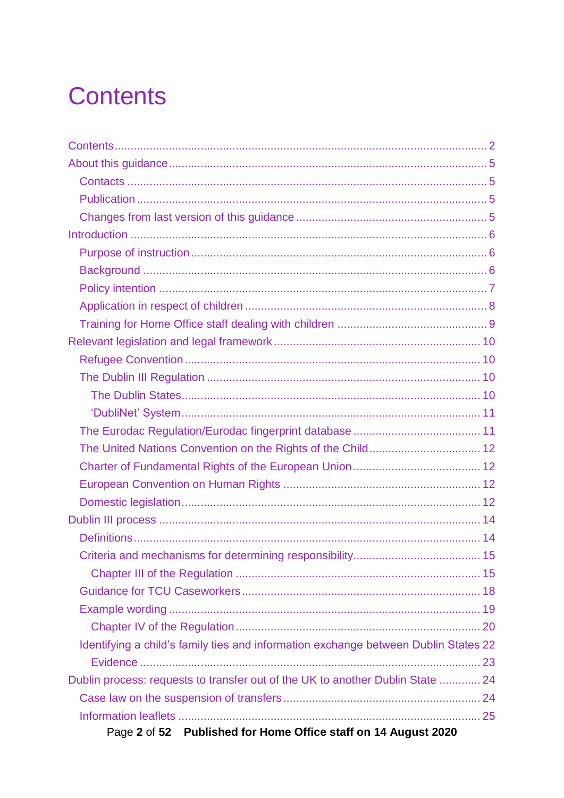# <span id="page-1-0"></span>**Contents**

| Identifying a child's family ties and information exchange between Dublin States 22 |
|-------------------------------------------------------------------------------------|
|                                                                                     |
| Dublin process: requests to transfer out of the UK to another Dublin State  24      |
|                                                                                     |
|                                                                                     |
| Page 2 of 52 Published for Home Office staff on 14 August 2020                      |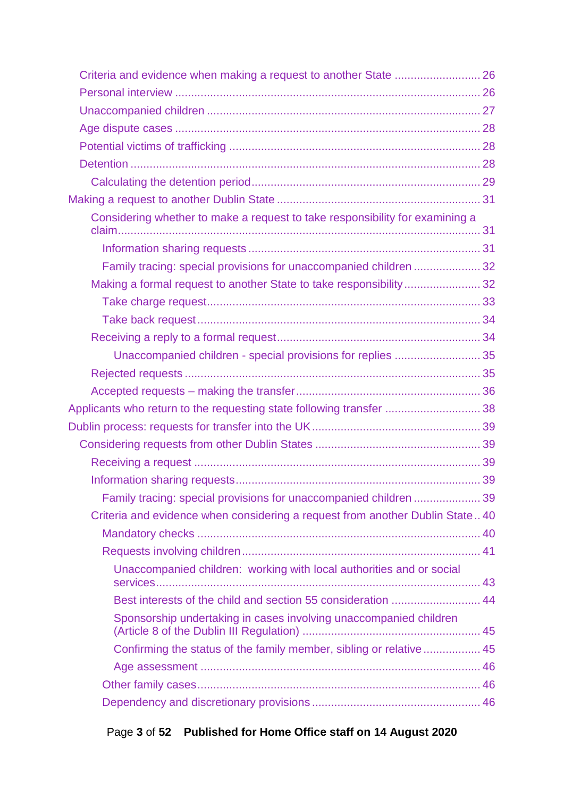| Considering whether to make a request to take responsibility for examining a  |  |
|-------------------------------------------------------------------------------|--|
|                                                                               |  |
| Family tracing: special provisions for unaccompanied children  32             |  |
| Making a formal request to another State to take responsibility32             |  |
|                                                                               |  |
|                                                                               |  |
|                                                                               |  |
| Unaccompanied children - special provisions for replies  35                   |  |
|                                                                               |  |
|                                                                               |  |
|                                                                               |  |
| Applicants who return to the requesting state following transfer  38          |  |
|                                                                               |  |
|                                                                               |  |
|                                                                               |  |
|                                                                               |  |
| Family tracing: special provisions for unaccompanied children  39             |  |
| Criteria and evidence when considering a request from another Dublin State 40 |  |
|                                                                               |  |
|                                                                               |  |
| Unaccompanied children: working with local authorities and or social          |  |
| Best interests of the child and section 55 consideration  44                  |  |
| Sponsorship undertaking in cases involving unaccompanied children             |  |
| Confirming the status of the family member, sibling or relative 45            |  |
|                                                                               |  |
|                                                                               |  |
|                                                                               |  |
|                                                                               |  |

# Page **3** of **52 Published for Home Office staff on 14 August 2020**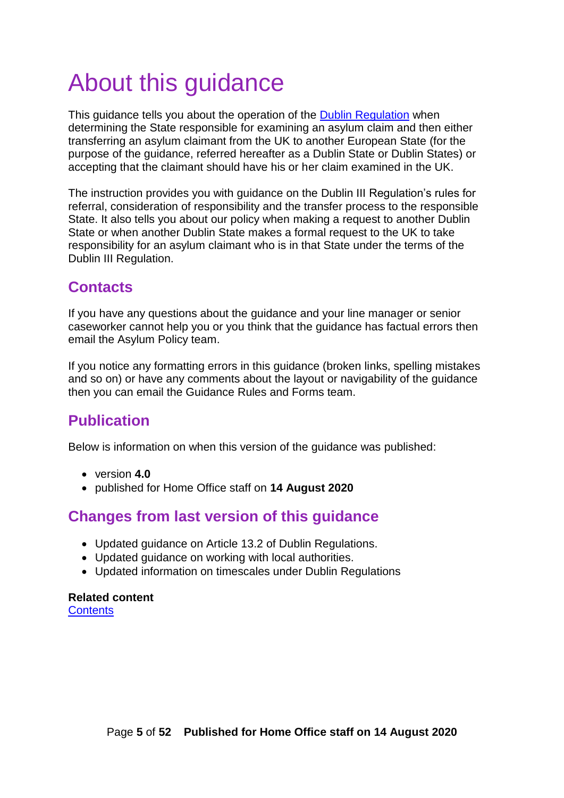# <span id="page-4-0"></span>About this guidance

This guidance tells you about the operation of the [Dublin Regulation](http://eur-lex.europa.eu/legal-content/EN/ALL/?uri=CELEX:32013R0604) when determining the State responsible for examining an asylum claim and then either transferring an asylum claimant from the UK to another European State (for the purpose of the guidance, referred hereafter as a Dublin State or Dublin States) or accepting that the claimant should have his or her claim examined in the UK.

The instruction provides you with guidance on the Dublin III Regulation's rules for referral, consideration of responsibility and the transfer process to the responsible State. It also tells you about our policy when making a request to another Dublin State or when another Dublin State makes a formal request to the UK to take responsibility for an asylum claimant who is in that State under the terms of the Dublin III Regulation.

## <span id="page-4-1"></span>**Contacts**

If you have any questions about the guidance and your line manager or senior caseworker cannot help you or you think that the guidance has factual errors then email the Asylum Policy team.

If you notice any formatting errors in this guidance (broken links, spelling mistakes and so on) or have any comments about the layout or navigability of the guidance then you can email the Guidance Rules and Forms team.

# <span id="page-4-2"></span>**Publication**

Below is information on when this version of the guidance was published:

- version **4.0**
- published for Home Office staff on **14 August 2020**

# <span id="page-4-3"></span>**Changes from last version of this guidance**

- Updated guidance on Article 13.2 of Dublin Regulations.
- Updated guidance on working with local authorities.
- Updated information on timescales under Dublin Regulations

#### **Related content [Contents](#page-1-0)**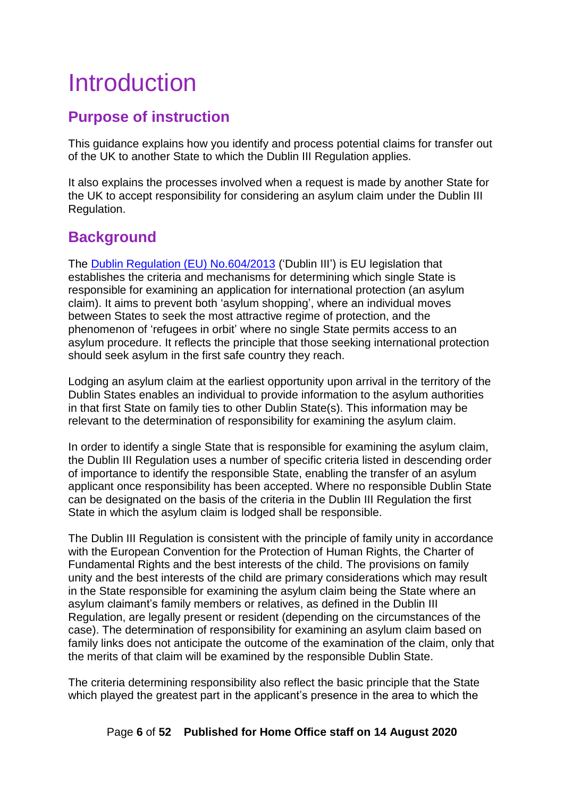# <span id="page-5-0"></span>Introduction

# <span id="page-5-1"></span>**Purpose of instruction**

This guidance explains how you identify and process potential claims for transfer out of the UK to another State to which the Dublin III Regulation applies.

It also explains the processes involved when a request is made by another State for the UK to accept responsibility for considering an asylum claim under the Dublin III Regulation.

# <span id="page-5-2"></span>**Background**

The [Dublin Regulation \(EU\) No.604/2013](http://eur-lex.europa.eu/legal-content/EN/ALL/?uri=CELEX:32013R0604) ('Dublin III') is EU legislation that establishes the criteria and mechanisms for determining which single State is responsible for examining an application for international protection (an asylum claim). It aims to prevent both 'asylum shopping', where an individual moves between States to seek the most attractive regime of protection, and the phenomenon of 'refugees in orbit' where no single State permits access to an asylum procedure. It reflects the principle that those seeking international protection should seek asylum in the first safe country they reach.

Lodging an asylum claim at the earliest opportunity upon arrival in the territory of the Dublin States enables an individual to provide information to the asylum authorities in that first State on family ties to other Dublin State(s). This information may be relevant to the determination of responsibility for examining the asylum claim.

In order to identify a single State that is responsible for examining the asylum claim, the Dublin III Regulation uses a number of specific criteria listed in descending order of importance to identify the responsible State, enabling the transfer of an asylum applicant once responsibility has been accepted. Where no responsible Dublin State can be designated on the basis of the criteria in the Dublin III Regulation the first State in which the asylum claim is lodged shall be responsible.

The Dublin III Regulation is consistent with the principle of family unity in accordance with the European Convention for the Protection of Human Rights, the Charter of Fundamental Rights and the best interests of the child. The provisions on family unity and the best interests of the child are primary considerations which may result in the State responsible for examining the asylum claim being the State where an asylum claimant's family members or relatives, as defined in the Dublin III Regulation, are legally present or resident (depending on the circumstances of the case). The determination of responsibility for examining an asylum claim based on family links does not anticipate the outcome of the examination of the claim, only that the merits of that claim will be examined by the responsible Dublin State.

The criteria determining responsibility also reflect the basic principle that the State which played the greatest part in the applicant's presence in the area to which the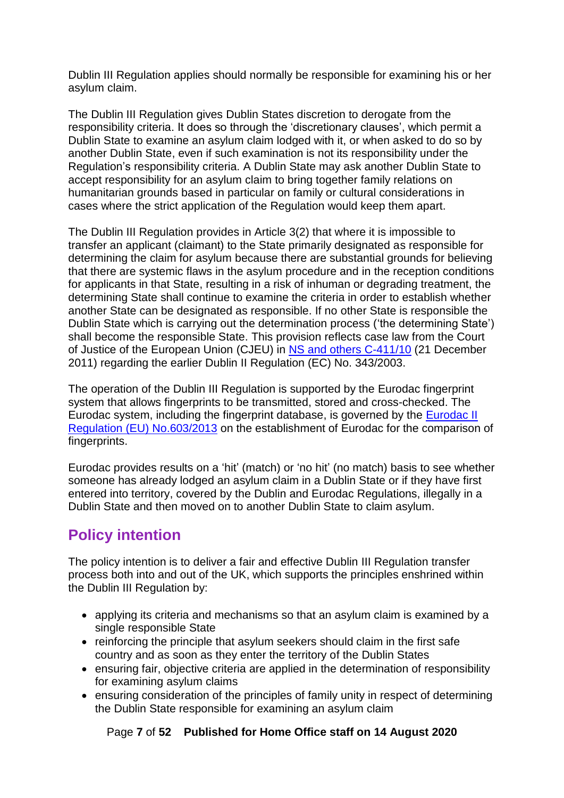Dublin III Regulation applies should normally be responsible for examining his or her asylum claim.

The Dublin III Regulation gives Dublin States discretion to derogate from the responsibility criteria. It does so through the 'discretionary clauses', which permit a Dublin State to examine an asylum claim lodged with it, or when asked to do so by another Dublin State, even if such examination is not its responsibility under the Regulation's responsibility criteria. A Dublin State may ask another Dublin State to accept responsibility for an asylum claim to bring together family relations on humanitarian grounds based in particular on family or cultural considerations in cases where the strict application of the Regulation would keep them apart.

The Dublin III Regulation provides in Article 3(2) that where it is impossible to transfer an applicant (claimant) to the State primarily designated as responsible for determining the claim for asylum because there are substantial grounds for believing that there are systemic flaws in the asylum procedure and in the reception conditions for applicants in that State, resulting in a risk of inhuman or degrading treatment, the determining State shall continue to examine the criteria in order to establish whether another State can be designated as responsible. If no other State is responsible the Dublin State which is carrying out the determination process ('the determining State') shall become the responsible State. This provision reflects case law from the Court of Justice of the European Union (CJEU) in [NS and others C-411/10](http://curia.europa.eu/juris/document/document.jsf;jsessionid=9ea7d2dc30d6adf8ab66d62e48afbdc5ec3159609ab3.e34KaxiLc3qMb40Rch0SaxyMbx90?text=&docid=117187&pageIndex=0&doclang=EN&mode=lst&dir=&occ=first&part=1&cid=688715) (21 December 2011) regarding the earlier Dublin II Regulation (EC) No. 343/2003.

The operation of the Dublin III Regulation is supported by the Eurodac fingerprint system that allows fingerprints to be transmitted, stored and cross-checked. The Eurodac system, including the fingerprint database, is governed by the [Eurodac II](http://eur-lex.europa.eu/legal-content/EN/TXT/?uri=CELEX:32013R0603)  [Regulation \(EU\) No.603/2013](http://eur-lex.europa.eu/legal-content/EN/TXT/?uri=CELEX:32013R0603) on the establishment of Eurodac for the comparison of fingerprints.

Eurodac provides results on a 'hit' (match) or 'no hit' (no match) basis to see whether someone has already lodged an asylum claim in a Dublin State or if they have first entered into territory, covered by the Dublin and Eurodac Regulations, illegally in a Dublin State and then moved on to another Dublin State to claim asylum.

# <span id="page-6-0"></span>**Policy intention**

The policy intention is to deliver a fair and effective Dublin III Regulation transfer process both into and out of the UK, which supports the principles enshrined within the Dublin III Regulation by:

- applying its criteria and mechanisms so that an asylum claim is examined by a single responsible State
- reinforcing the principle that asylum seekers should claim in the first safe country and as soon as they enter the territory of the Dublin States
- ensuring fair, objective criteria are applied in the determination of responsibility for examining asylum claims
- ensuring consideration of the principles of family unity in respect of determining the Dublin State responsible for examining an asylum claim

Page **7** of **52 Published for Home Office staff on 14 August 2020**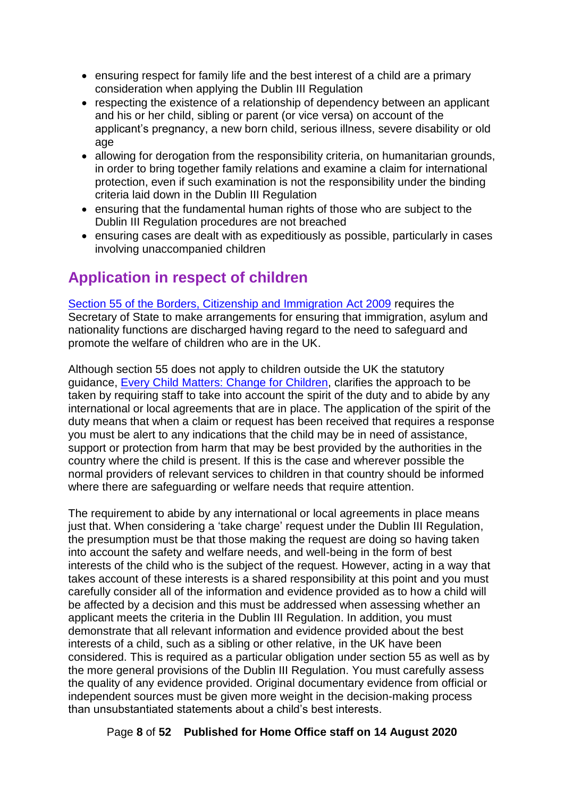- ensuring respect for family life and the best interest of a child are a primary consideration when applying the Dublin III Regulation
- respecting the existence of a relationship of dependency between an applicant and his or her child, sibling or parent (or vice versa) on account of the applicant's pregnancy, a new born child, serious illness, severe disability or old age
- allowing for derogation from the responsibility criteria, on humanitarian grounds, in order to bring together family relations and examine a claim for international protection, even if such examination is not the responsibility under the binding criteria laid down in the Dublin III Regulation
- ensuring that the fundamental human rights of those who are subject to the Dublin III Regulation procedures are not breached
- ensuring cases are dealt with as expeditiously as possible, particularly in cases involving unaccompanied children

# <span id="page-7-0"></span>**Application in respect of children**

[Section 55 of the Borders, Citizenship and Immigration Act 2009](http://www.legislation.gov.uk/ukpga/2009/11/section/55) requires the Secretary of State to make arrangements for ensuring that immigration, asylum and nationality functions are discharged having regard to the need to safeguard and promote the welfare of children who are in the UK.

Although section 55 does not apply to children outside the UK the statutory guidance, [Every Child Matters: Change for Children,](https://www.gov.uk/government/publications/every-child-matters-statutory-guidance) clarifies the approach to be taken by requiring staff to take into account the spirit of the duty and to abide by any international or local agreements that are in place. The application of the spirit of the duty means that when a claim or request has been received that requires a response you must be alert to any indications that the child may be in need of assistance, support or protection from harm that may be best provided by the authorities in the country where the child is present. If this is the case and wherever possible the normal providers of relevant services to children in that country should be informed where there are safeguarding or welfare needs that require attention.

The requirement to abide by any international or local agreements in place means just that. When considering a 'take charge' request under the Dublin III Regulation, the presumption must be that those making the request are doing so having taken into account the safety and welfare needs, and well-being in the form of best interests of the child who is the subject of the request. However, acting in a way that takes account of these interests is a shared responsibility at this point and you must carefully consider all of the information and evidence provided as to how a child will be affected by a decision and this must be addressed when assessing whether an applicant meets the criteria in the Dublin III Regulation. In addition, you must demonstrate that all relevant information and evidence provided about the best interests of a child, such as a sibling or other relative, in the UK have been considered. This is required as a particular obligation under section 55 as well as by the more general provisions of the Dublin III Regulation. You must carefully assess the quality of any evidence provided. Original documentary evidence from official or independent sources must be given more weight in the decision-making process than unsubstantiated statements about a child's best interests.

#### Page **8** of **52 Published for Home Office staff on 14 August 2020**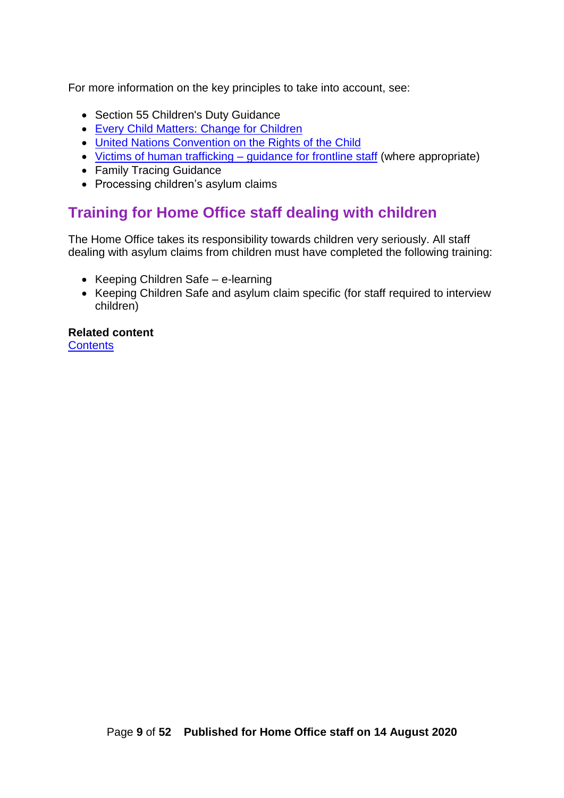For more information on the key principles to take into account, see:

- Section 55 Children's Duty Guidance
- [Every Child Matters: Change for Children](https://www.gov.uk/government/publications/every-child-matters-statutory-guidance)
- [United Nations Convention on the Rights of the Child](https://treaties.un.org/Pages/ViewDetails.aspx?src=IND&mtdsg_no=IV-11&chapter=4&lang=en#EndDec)
- [Victims of human trafficking –](https://www.gov.uk/government/publications/victims-of-human-trafficking) guidance for frontline staff (where appropriate)
- Family Tracing Guidance
- Processing children's asylum claims

# <span id="page-8-0"></span>**Training for Home Office staff dealing with children**

The Home Office takes its responsibility towards children very seriously. All staff dealing with asylum claims from children must have completed the following training:

- Keeping Children Safe e-learning
- Keeping Children Safe and asylum claim specific (for staff required to interview children)

**Related content [Contents](#page-1-0)**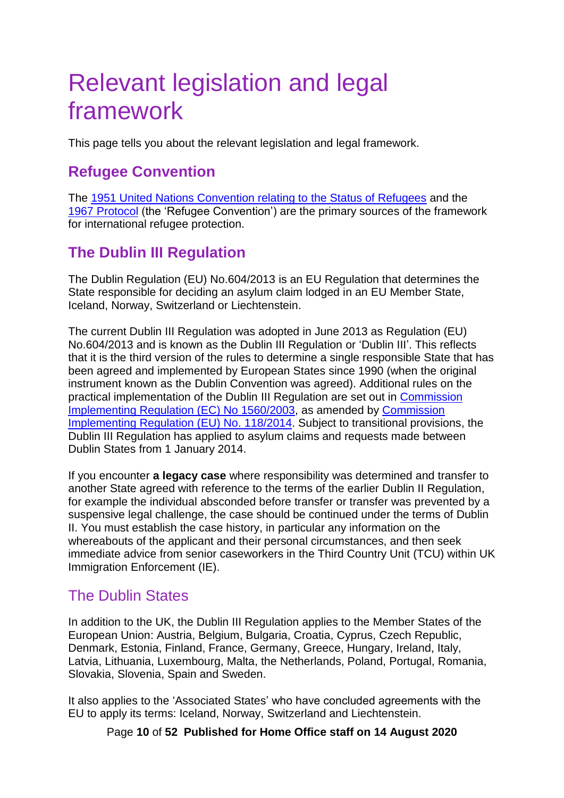# <span id="page-9-0"></span>Relevant legislation and legal framework

This page tells you about the relevant legislation and legal framework.

## <span id="page-9-1"></span>**Refugee Convention**

The [1951 United Nations Convention relating to the Status of Refugees](http://www.unhcr.org/uk/1951-refugee-convention.html) and the [1967 Protocol](http://www.ohchr.org/Documents/ProfessionalInterest/protocolrefugees.pdf) (the 'Refugee Convention') are the primary sources of the framework for international refugee protection.

# <span id="page-9-2"></span>**The Dublin III Regulation**

The Dublin Regulation (EU) No.604/2013 is an EU Regulation that determines the State responsible for deciding an asylum claim lodged in an EU Member State, Iceland, Norway, Switzerland or Liechtenstein.

The current Dublin III Regulation was adopted in June 2013 as Regulation (EU) No.604/2013 and is known as the Dublin III Regulation or 'Dublin III'. This reflects that it is the third version of the rules to determine a single responsible State that has been agreed and implemented by European States since 1990 (when the original instrument known as the Dublin Convention was agreed). Additional rules on the practical implementation of the Dublin III Regulation are set out in [Commission](http://eur-lex.europa.eu/legal-content/EN/TXT/?uri=CELEX:32003R1560)  [Implementing Regulation \(EC\) No 1560/2003,](http://eur-lex.europa.eu/legal-content/EN/TXT/?uri=CELEX:32003R1560) as amended by [Commission](http://eur-lex.europa.eu/legal-content/EN/TXT/?qid=1509610440039&uri=CELEX:32014R0118)  [Implementing Regulation \(EU\) No.](http://eur-lex.europa.eu/legal-content/EN/TXT/?qid=1509610440039&uri=CELEX:32014R0118) 118/2014. Subject to transitional provisions, the Dublin III Regulation has applied to asylum claims and requests made between Dublin States from 1 January 2014.

If you encounter **a legacy case** where responsibility was determined and transfer to another State agreed with reference to the terms of the earlier Dublin II Regulation, for example the individual absconded before transfer or transfer was prevented by a suspensive legal challenge, the case should be continued under the terms of Dublin II. You must establish the case history, in particular any information on the whereabouts of the applicant and their personal circumstances, and then seek immediate advice from senior caseworkers in the Third Country Unit (TCU) within UK Immigration Enforcement (IE).

## <span id="page-9-3"></span>The Dublin States

In addition to the UK, the Dublin III Regulation applies to the Member States of the European Union: Austria, Belgium, Bulgaria, Croatia, Cyprus, Czech Republic, Denmark, Estonia, Finland, France, Germany, Greece, Hungary, Ireland, Italy, Latvia, Lithuania, Luxembourg, Malta, the Netherlands, Poland, Portugal, Romania, Slovakia, Slovenia, Spain and Sweden.

It also applies to the 'Associated States' who have concluded agreements with the EU to apply its terms: Iceland, Norway, Switzerland and Liechtenstein.

Page **10** of **52 Published for Home Office staff on 14 August 2020**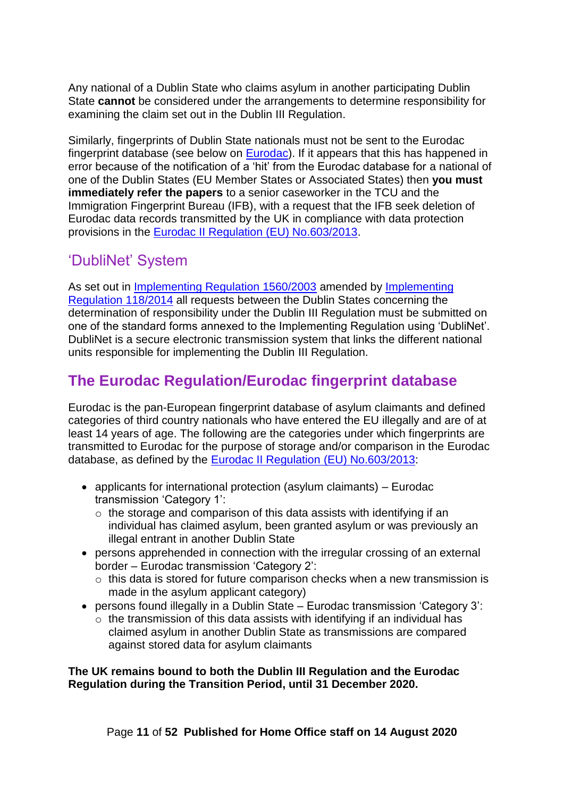<span id="page-10-2"></span>Any national of a Dublin State who claims asylum in another participating Dublin State **cannot** be considered under the arrangements to determine responsibility for examining the claim set out in the Dublin III Regulation.

Similarly, fingerprints of Dublin State nationals must not be sent to the Eurodac fingerprint database (see below on [Eurodac\)](#page-10-3). If it appears that this has happened in error because of the notification of a 'hit' from the Eurodac database for a national of one of the Dublin States (EU Member States or Associated States) then **you must immediately refer the papers** to a senior caseworker in the TCU and the Immigration Fingerprint Bureau (IFB), with a request that the IFB seek deletion of Eurodac data records transmitted by the UK in compliance with data protection provisions in the [Eurodac II Regulation \(EU\) No.603/2013.](http://eur-lex.europa.eu/legal-content/EN/TXT/?uri=CELEX:32013R0603)

## <span id="page-10-0"></span>'DubliNet' System

As set out in [Implementing Regulation 1560/2003](http://eur-lex.europa.eu/legal-content/EN/TXT/?uri=CELEX:32003R1560) amended by [Implementing](http://eur-lex.europa.eu/legal-content/EN/TXT/?qid=1509610440039&uri=CELEX:32014R0118)  [Regulation 118/2014](http://eur-lex.europa.eu/legal-content/EN/TXT/?qid=1509610440039&uri=CELEX:32014R0118) all requests between the Dublin States concerning the determination of responsibility under the Dublin III Regulation must be submitted on one of the standard forms annexed to the Implementing Regulation using 'DubliNet'. DubliNet is a secure electronic transmission system that links the different national units responsible for implementing the Dublin III Regulation.

## <span id="page-10-3"></span><span id="page-10-1"></span>**The Eurodac Regulation/Eurodac fingerprint database**

Eurodac is the pan-European fingerprint database of asylum claimants and defined categories of third country nationals who have entered the EU illegally and are of at least 14 years of age. The following are the categories under which fingerprints are transmitted to Eurodac for the purpose of storage and/or comparison in the Eurodac database, as defined by the [Eurodac II Regulation](http://eur-lex.europa.eu/legal-content/EN/TXT/?uri=CELEX:32013R0603) (EU) No.603/2013:

- applicants for international protection (asylum claimants) Eurodac transmission 'Category 1':
	- $\circ$  the storage and comparison of this data assists with identifying if an individual has claimed asylum, been granted asylum or was previously an illegal entrant in another Dublin State
- persons apprehended in connection with the irregular crossing of an external border – Eurodac transmission 'Category 2':
	- o this data is stored for future comparison checks when a new transmission is made in the asylum applicant category)
- persons found illegally in a Dublin State Eurodac transmission 'Category 3':
	- $\circ$  the transmission of this data assists with identifying if an individual has claimed asylum in another Dublin State as transmissions are compared against stored data for asylum claimants

**The UK remains bound to both the Dublin III Regulation and the Eurodac Regulation during the Transition Period, until 31 December 2020.**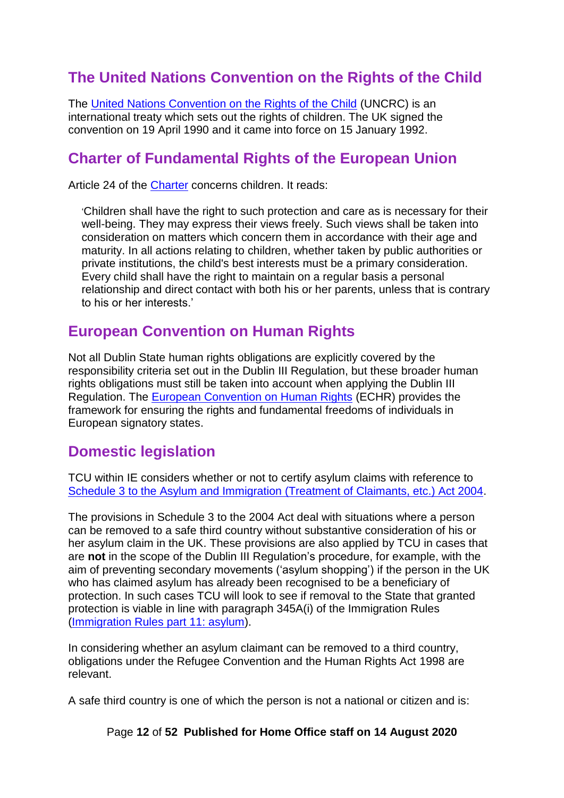# **The United Nations Convention on the Rights of the Child**

The [United Nations Convention on the Rights of the Child](https://www.unicef.org.uk/what-we-do/un-convention-child-rights/) (UNCRC) is an international treaty which sets out the rights of children. The UK signed the convention on 19 April 1990 and it came into force on 15 January 1992.

## <span id="page-11-0"></span>**Charter of Fundamental Rights of the European Union**

Article 24 of the [Charter](http://eur-lex.europa.eu/legal-content/EN/TXT/?uri=CELEX:12012P/TXT) concerns children. It reads:

'Children shall have the right to such protection and care as is necessary for their well-being. They may express their views freely. Such views shall be taken into consideration on matters which concern them in accordance with their age and maturity. In all actions relating to children, whether taken by public authorities or private institutions, the child's best interests must be a primary consideration. Every child shall have the right to maintain on a regular basis a personal relationship and direct contact with both his or her parents, unless that is contrary to his or her interests.'

## <span id="page-11-1"></span>**European Convention on Human Rights**

Not all Dublin State human rights obligations are explicitly covered by the responsibility criteria set out in the Dublin III Regulation, but these broader human rights obligations must still be taken into account when applying the Dublin III Regulation. The [European Convention on Human Rights](http://www.echr.coe.int/Pages/home.aspx?p=basictexts) (ECHR) provides the framework for ensuring the rights and fundamental freedoms of individuals in European signatory states.

## <span id="page-11-2"></span>**Domestic legislation**

TCU within IE considers whether or not to certify asylum claims with reference to [Schedule 3 to the Asylum and Immigration \(Treatment of Claimants, etc.\) Act 2004.](http://www.legislation.gov.uk/ukpga/2004/19/schedule/3)

The provisions in Schedule 3 to the 2004 Act deal with situations where a person can be removed to a safe third country without substantive consideration of his or her asylum claim in the UK. These provisions are also applied by TCU in cases that are **not** in the scope of the Dublin III Regulation's procedure, for example, with the aim of preventing secondary movements ('asylum shopping') if the person in the UK who has claimed asylum has already been recognised to be a beneficiary of protection. In such cases TCU will look to see if removal to the State that granted protection is viable in line with paragraph 345A(i) of the Immigration Rules [\(Immigration Rules part 11: asylum\)](https://www.gov.uk/guidance/immigration-rules/immigration-rules-part-11-asylum).

In considering whether an asylum claimant can be removed to a third country, obligations under the Refugee Convention and the Human Rights Act 1998 are relevant.

A safe third country is one of which the person is not a national or citizen and is:

Page **12** of **52 Published for Home Office staff on 14 August 2020**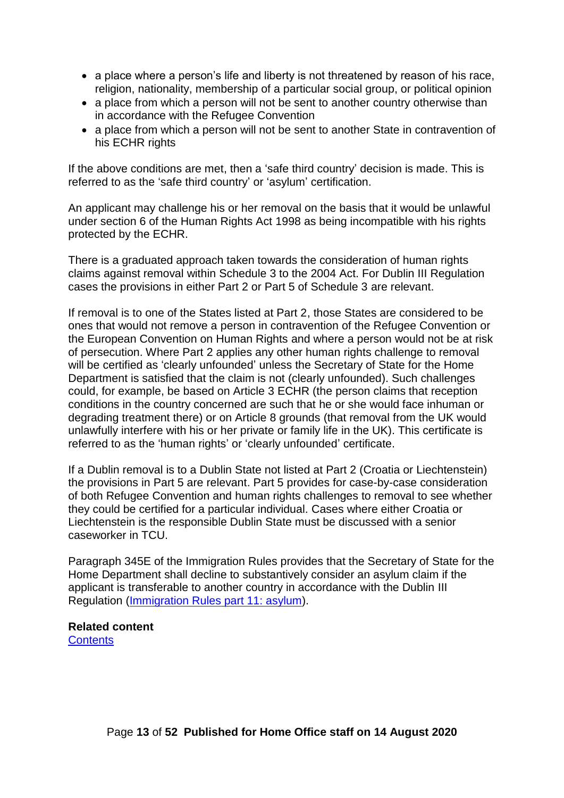- a place where a person's life and liberty is not threatened by reason of his race, religion, nationality, membership of a particular social group, or political opinion
- a place from which a person will not be sent to another country otherwise than in accordance with the Refugee Convention
- a place from which a person will not be sent to another State in contravention of his ECHR rights

If the above conditions are met, then a 'safe third country' decision is made. This is referred to as the 'safe third country' or 'asylum' certification.

An applicant may challenge his or her removal on the basis that it would be unlawful under section 6 of the Human Rights Act 1998 as being incompatible with his rights protected by the ECHR.

There is a graduated approach taken towards the consideration of human rights claims against removal within Schedule 3 to the 2004 Act. For Dublin III Regulation cases the provisions in either Part 2 or Part 5 of Schedule 3 are relevant.

If removal is to one of the States listed at Part 2, those States are considered to be ones that would not remove a person in contravention of the Refugee Convention or the European Convention on Human Rights and where a person would not be at risk of persecution. Where Part 2 applies any other human rights challenge to removal will be certified as 'clearly unfounded' unless the Secretary of State for the Home Department is satisfied that the claim is not (clearly unfounded). Such challenges could, for example, be based on Article 3 ECHR (the person claims that reception conditions in the country concerned are such that he or she would face inhuman or degrading treatment there) or on Article 8 grounds (that removal from the UK would unlawfully interfere with his or her private or family life in the UK). This certificate is referred to as the 'human rights' or 'clearly unfounded' certificate.

If a Dublin removal is to a Dublin State not listed at Part 2 (Croatia or Liechtenstein) the provisions in Part 5 are relevant. Part 5 provides for case-by-case consideration of both Refugee Convention and human rights challenges to removal to see whether they could be certified for a particular individual. Cases where either Croatia or Liechtenstein is the responsible Dublin State must be discussed with a senior caseworker in TCU.

Paragraph 345E of the Immigration Rules provides that the Secretary of State for the Home Department shall decline to substantively consider an asylum claim if the applicant is transferable to another country in accordance with the Dublin III Regulation [\(Immigration Rules part 11: asylum\)](https://www.gov.uk/guidance/immigration-rules/immigration-rules-part-11-asylum).

**Related content [Contents](#page-1-0)**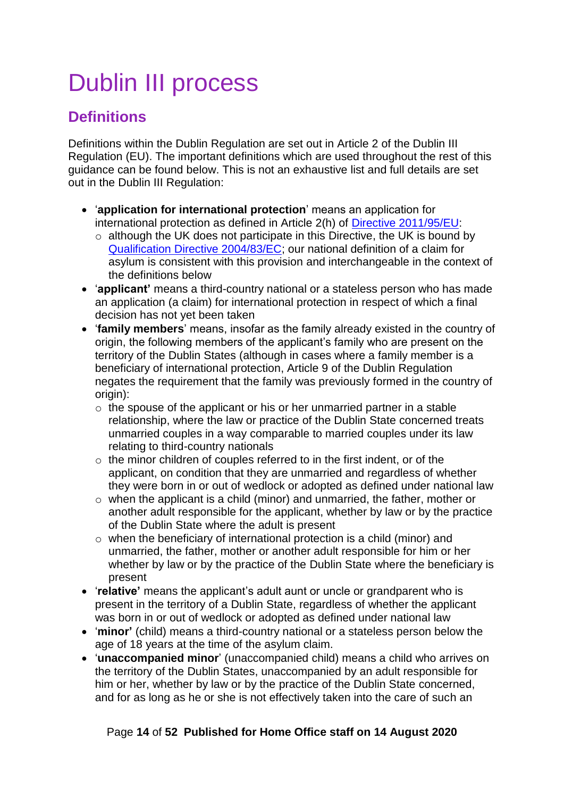# <span id="page-13-0"></span>Dublin III process

# <span id="page-13-1"></span>**Definitions**

Definitions within the Dublin Regulation are set out in Article 2 of the Dublin III Regulation (EU). The important definitions which are used throughout the rest of this guidance can be found below. This is not an exhaustive list and full details are set out in the Dublin III Regulation:

- '**application for international protection**' means an application for international protection as defined in Article 2(h) of [Directive 2011/95/EU:](http://eur-lex.europa.eu/legal-content/EN/TXT/?uri=CELEX:32011L0095)
	- $\circ$  although the UK does not participate in this Directive, the UK is bound by [Qualification Directive 2004/83/EC;](http://eur-lex.europa.eu/LexUriServ/LexUriServ.do?uri=CELEX:32004L0083:en:HTML) our national definition of a claim for asylum is consistent with this provision and interchangeable in the context of the definitions below
- '**applicant'** means a third-country national or a stateless person who has made an application (a claim) for international protection in respect of which a final decision has not yet been taken
- '**family members**' means, insofar as the family already existed in the country of origin, the following members of the applicant's family who are present on the territory of the Dublin States (although in cases where a family member is a beneficiary of international protection, Article 9 of the Dublin Regulation negates the requirement that the family was previously formed in the country of origin):
	- $\circ$  the spouse of the applicant or his or her unmarried partner in a stable relationship, where the law or practice of the Dublin State concerned treats unmarried couples in a way comparable to married couples under its law relating to third-country nationals
	- $\circ$  the minor children of couples referred to in the first indent, or of the applicant, on condition that they are unmarried and regardless of whether they were born in or out of wedlock or adopted as defined under national law
	- o when the applicant is a child (minor) and unmarried, the father, mother or another adult responsible for the applicant, whether by law or by the practice of the Dublin State where the adult is present
	- $\circ$  when the beneficiary of international protection is a child (minor) and unmarried, the father, mother or another adult responsible for him or her whether by law or by the practice of the Dublin State where the beneficiary is present
- '**relative'** means the applicant's adult aunt or uncle or grandparent who is present in the territory of a Dublin State, regardless of whether the applicant was born in or out of wedlock or adopted as defined under national law
- '**minor'** (child) means a third-country national or a stateless person below the age of 18 years at the time of the asylum claim.
- '**unaccompanied minor**' (unaccompanied child) means a child who arrives on the territory of the Dublin States, unaccompanied by an adult responsible for him or her, whether by law or by the practice of the Dublin State concerned, and for as long as he or she is not effectively taken into the care of such an

#### Page **14** of **52 Published for Home Office staff on 14 August 2020**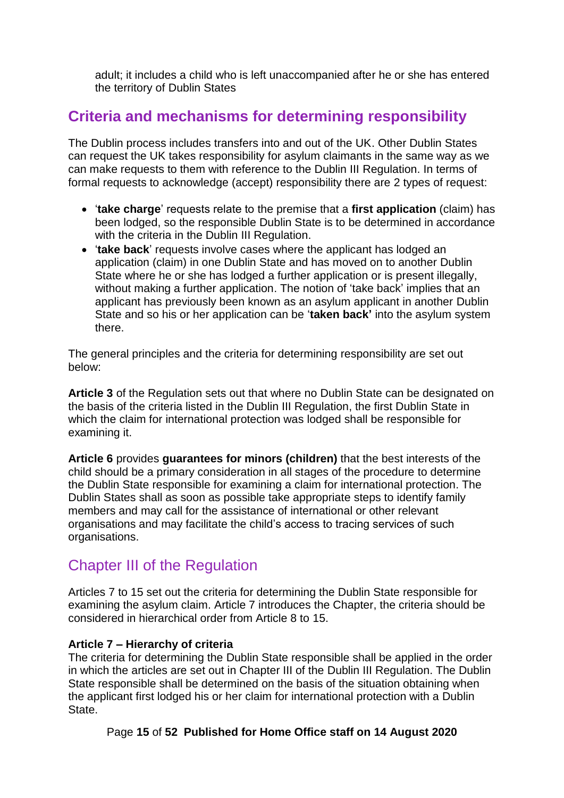adult; it includes a child who is left unaccompanied after he or she has entered the territory of Dublin States

## <span id="page-14-0"></span>**Criteria and mechanisms for determining responsibility**

The Dublin process includes transfers into and out of the UK. Other Dublin States can request the UK takes responsibility for asylum claimants in the same way as we can make requests to them with reference to the Dublin III Regulation. In terms of formal requests to acknowledge (accept) responsibility there are 2 types of request:

- '**take charge**' requests relate to the premise that a **first application** (claim) has been lodged, so the responsible Dublin State is to be determined in accordance with the criteria in the Dublin III Regulation.
- '**take back**' requests involve cases where the applicant has lodged an application (claim) in one Dublin State and has moved on to another Dublin State where he or she has lodged a further application or is present illegally, without making a further application. The notion of 'take back' implies that an applicant has previously been known as an asylum applicant in another Dublin State and so his or her application can be '**taken back'** into the asylum system there.

The general principles and the criteria for determining responsibility are set out below:

**Article 3** of the Regulation sets out that where no Dublin State can be designated on the basis of the criteria listed in the Dublin III Regulation, the first Dublin State in which the claim for international protection was lodged shall be responsible for examining it.

**Article 6** provides **guarantees for minors (children)** that the best interests of the child should be a primary consideration in all stages of the procedure to determine the Dublin State responsible for examining a claim for international protection. The Dublin States shall as soon as possible take appropriate steps to identify family members and may call for the assistance of international or other relevant organisations and may facilitate the child's access to tracing services of such organisations.

## <span id="page-14-1"></span>Chapter III of the Regulation

Articles 7 to 15 set out the criteria for determining the Dublin State responsible for examining the asylum claim. Article 7 introduces the Chapter, the criteria should be considered in hierarchical order from Article 8 to 15.

#### **Article 7 – Hierarchy of criteria**

The criteria for determining the Dublin State responsible shall be applied in the order in which the articles are set out in Chapter III of the Dublin III Regulation. The Dublin State responsible shall be determined on the basis of the situation obtaining when the applicant first lodged his or her claim for international protection with a Dublin State.

#### <span id="page-14-2"></span>Page **15** of **52 Published for Home Office staff on 14 August 2020**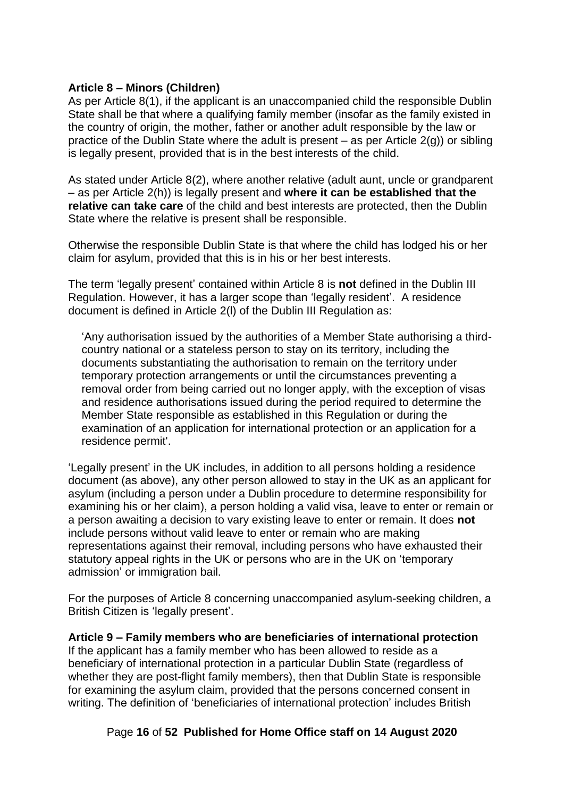#### **Article 8 – Minors (Children)**

As per Article 8(1), if the applicant is an unaccompanied child the responsible Dublin State shall be that where a qualifying family member (insofar as the family existed in the country of origin, the mother, father or another adult responsible by the law or practice of the Dublin State where the adult is present – as per Article 2(g)) or sibling is legally present, provided that is in the best interests of the child.

As stated under Article 8(2), where another relative (adult aunt, uncle or grandparent – as per Article 2(h)) is legally present and **where it can be established that the relative can take care** of the child and best interests are protected, then the Dublin State where the relative is present shall be responsible.

Otherwise the responsible Dublin State is that where the child has lodged his or her claim for asylum, provided that this is in his or her best interests.

The term 'legally present' contained within Article 8 is **not** defined in the Dublin III Regulation. However, it has a larger scope than 'legally resident'. A residence document is defined in Article 2(l) of the Dublin III Regulation as:

'Any authorisation issued by the authorities of a Member State authorising a thirdcountry national or a stateless person to stay on its territory, including the documents substantiating the authorisation to remain on the territory under temporary protection arrangements or until the circumstances preventing a removal order from being carried out no longer apply, with the exception of visas and residence authorisations issued during the period required to determine the Member State responsible as established in this Regulation or during the examination of an application for international protection or an application for a residence permit'.

'Legally present' in the UK includes, in addition to all persons holding a residence document (as above), any other person allowed to stay in the UK as an applicant for asylum (including a person under a Dublin procedure to determine responsibility for examining his or her claim), a person holding a valid visa, leave to enter or remain or a person awaiting a decision to vary existing leave to enter or remain. It does **not** include persons without valid leave to enter or remain who are making representations against their removal, including persons who have exhausted their statutory appeal rights in the UK or persons who are in the UK on 'temporary admission' or immigration bail.

For the purposes of Article 8 concerning unaccompanied asylum-seeking children, a British Citizen is 'legally present'.

**Article 9 – Family members who are beneficiaries of international protection** If the applicant has a family member who has been allowed to reside as a beneficiary of international protection in a particular Dublin State (regardless of whether they are post-flight family members), then that Dublin State is responsible for examining the asylum claim, provided that the persons concerned consent in writing. The definition of 'beneficiaries of international protection' includes British

#### Page **16** of **52 Published for Home Office staff on 14 August 2020**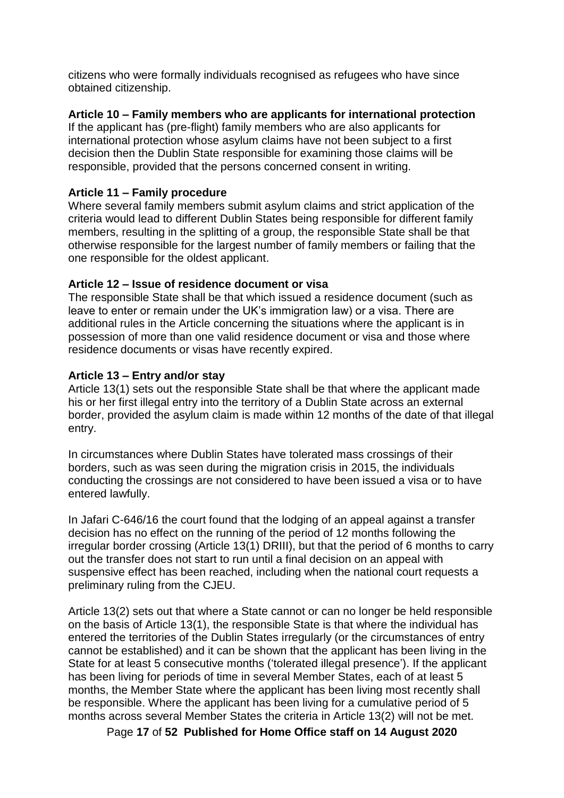citizens who were formally individuals recognised as refugees who have since obtained citizenship.

#### **Article 10 – Family members who are applicants for international protection**

If the applicant has (pre-flight) family members who are also applicants for international protection whose asylum claims have not been subject to a first decision then the Dublin State responsible for examining those claims will be responsible, provided that the persons concerned consent in writing.

#### **Article 11 – Family procedure**

Where several family members submit asylum claims and strict application of the criteria would lead to different Dublin States being responsible for different family members, resulting in the splitting of a group, the responsible State shall be that otherwise responsible for the largest number of family members or failing that the one responsible for the oldest applicant.

#### **Article 12 – Issue of residence document or visa**

The responsible State shall be that which issued a residence document (such as leave to enter or remain under the UK's immigration law) or a visa. There are additional rules in the Article concerning the situations where the applicant is in possession of more than one valid residence document or visa and those where residence documents or visas have recently expired.

#### **Article 13 – Entry and/or stay**

Article 13(1) sets out the responsible State shall be that where the applicant made his or her first illegal entry into the territory of a Dublin State across an external border, provided the asylum claim is made within 12 months of the date of that illegal entry.

In circumstances where Dublin States have tolerated mass crossings of their borders, such as was seen during the migration crisis in 2015, the individuals conducting the crossings are not considered to have been issued a visa or to have entered lawfully.

In Jafari C-646/16 the court found that the lodging of an appeal against a transfer decision has no effect on the running of the period of 12 months following the irregular border crossing (Article 13(1) DRIII), but that the period of 6 months to carry out the transfer does not start to run until a final decision on an appeal with suspensive effect has been reached, including when the national court requests a preliminary ruling from the CJEU.

Article 13(2) sets out that where a State cannot or can no longer be held responsible on the basis of Article 13(1), the responsible State is that where the individual has entered the territories of the Dublin States irregularly (or the circumstances of entry cannot be established) and it can be shown that the applicant has been living in the State for at least 5 consecutive months ('tolerated illegal presence'). If the applicant has been living for periods of time in several Member States, each of at least 5 months, the Member State where the applicant has been living most recently shall be responsible. Where the applicant has been living for a cumulative period of 5 months across several Member States the criteria in Article 13(2) will not be met.

Page **17** of **52 Published for Home Office staff on 14 August 2020**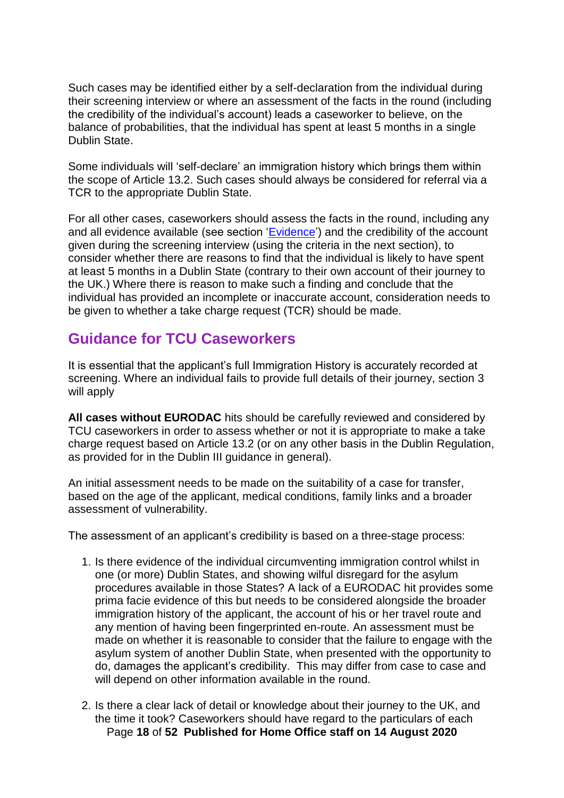Such cases may be identified either by a self-declaration from the individual during their screening interview or where an assessment of the facts in the round (including the credibility of the individual's account) leads a caseworker to believe, on the balance of probabilities, that the individual has spent at least 5 months in a single Dublin State.

Some individuals will 'self-declare' an immigration history which brings them within the scope of Article 13.2. Such cases should always be considered for referral via a TCR to the appropriate Dublin State.

For all other cases, caseworkers should assess the facts in the round, including any and all evidence available (see section ['Evidence'](#page-22-0)) and the credibility of the account given during the screening interview (using the criteria in the next section), to consider whether there are reasons to find that the individual is likely to have spent at least 5 months in a Dublin State (contrary to their own account of their journey to the UK.) Where there is reason to make such a finding and conclude that the individual has provided an incomplete or inaccurate account, consideration needs to be given to whether a take charge request (TCR) should be made.

### <span id="page-17-0"></span>**Guidance for TCU Caseworkers**

It is essential that the applicant's full Immigration History is accurately recorded at screening. Where an individual fails to provide full details of their journey, section 3 will apply

**All cases without EURODAC** hits should be carefully reviewed and considered by TCU caseworkers in order to assess whether or not it is appropriate to make a take charge request based on Article 13.2 (or on any other basis in the Dublin Regulation, as provided for in the Dublin III guidance in general).

An initial assessment needs to be made on the suitability of a case for transfer, based on the age of the applicant, medical conditions, family links and a broader assessment of vulnerability.

The assessment of an applicant's credibility is based on a three-stage process:

- 1. Is there evidence of the individual circumventing immigration control whilst in one (or more) Dublin States, and showing wilful disregard for the asylum procedures available in those States? A lack of a EURODAC hit provides some prima facie evidence of this but needs to be considered alongside the broader immigration history of the applicant, the account of his or her travel route and any mention of having been fingerprinted en-route. An assessment must be made on whether it is reasonable to consider that the failure to engage with the asylum system of another Dublin State, when presented with the opportunity to do, damages the applicant's credibility. This may differ from case to case and will depend on other information available in the round.
- Page **18** of **52 Published for Home Office staff on 14 August 2020** 2. Is there a clear lack of detail or knowledge about their journey to the UK, and the time it took? Caseworkers should have regard to the particulars of each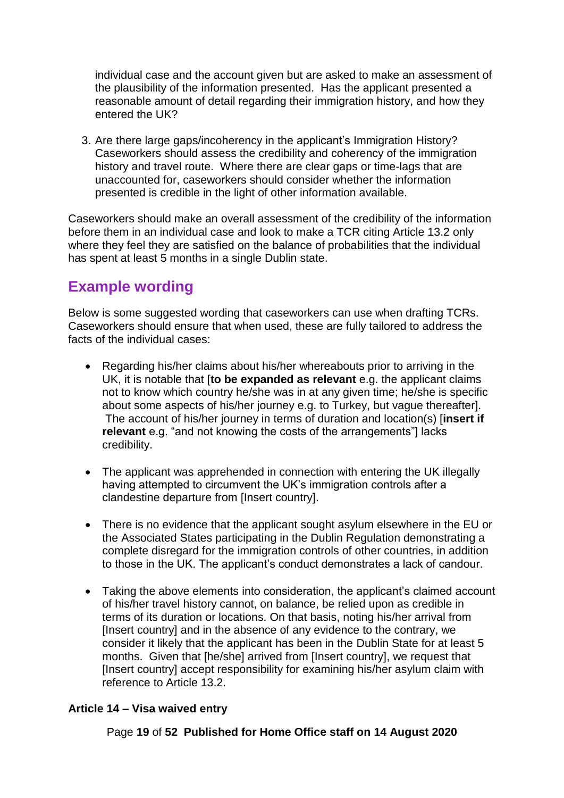individual case and the account given but are asked to make an assessment of the plausibility of the information presented. Has the applicant presented a reasonable amount of detail regarding their immigration history, and how they entered the UK?

3. Are there large gaps/incoherency in the applicant's Immigration History? Caseworkers should assess the credibility and coherency of the immigration history and travel route. Where there are clear gaps or time-lags that are unaccounted for, caseworkers should consider whether the information presented is credible in the light of other information available.

Caseworkers should make an overall assessment of the credibility of the information before them in an individual case and look to make a TCR citing Article 13.2 only where they feel they are satisfied on the balance of probabilities that the individual has spent at least 5 months in a single Dublin state.

## <span id="page-18-0"></span>**Example wording**

Below is some suggested wording that caseworkers can use when drafting TCRs. Caseworkers should ensure that when used, these are fully tailored to address the facts of the individual cases:

- Regarding his/her claims about his/her whereabouts prior to arriving in the UK, it is notable that [**to be expanded as relevant** e.g. the applicant claims not to know which country he/she was in at any given time; he/she is specific about some aspects of his/her journey e.g. to Turkey, but vague thereafter]. The account of his/her journey in terms of duration and location(s) [**insert if relevant** e.g. "and not knowing the costs of the arrangements"] lacks credibility.
- The applicant was apprehended in connection with entering the UK illegally having attempted to circumvent the UK's immigration controls after a clandestine departure from [Insert country].
- There is no evidence that the applicant sought asylum elsewhere in the EU or the Associated States participating in the Dublin Regulation demonstrating a complete disregard for the immigration controls of other countries, in addition to those in the UK. The applicant's conduct demonstrates a lack of candour.
- Taking the above elements into consideration, the applicant's claimed account of his/her travel history cannot, on balance, be relied upon as credible in terms of its duration or locations. On that basis, noting his/her arrival from [Insert country] and in the absence of any evidence to the contrary, we consider it likely that the applicant has been in the Dublin State for at least 5 months. Given that [he/she] arrived from [Insert country], we request that [Insert country] accept responsibility for examining his/her asylum claim with reference to Article 13.2.

#### **Article 14 – Visa waived entry**

Page **19** of **52 Published for Home Office staff on 14 August 2020**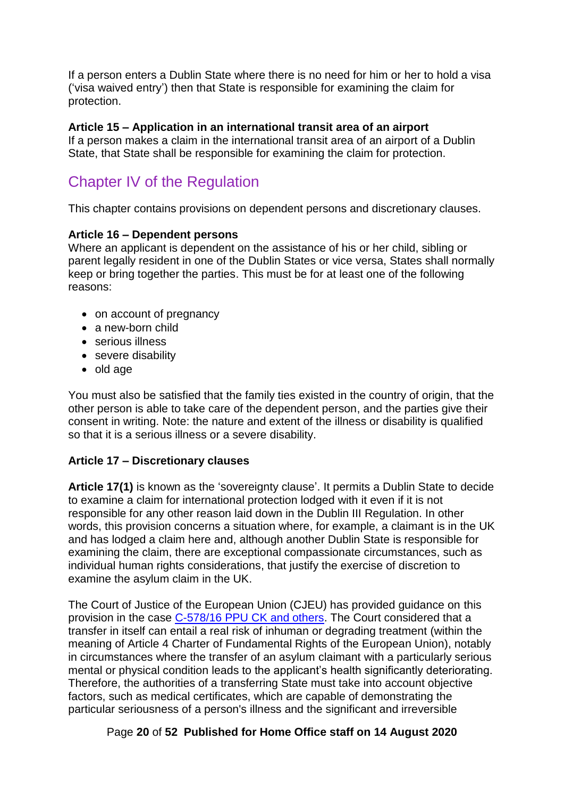If a person enters a Dublin State where there is no need for him or her to hold a visa ('visa waived entry') then that State is responsible for examining the claim for protection.

#### **Article 15 – Application in an international transit area of an airport**

If a person makes a claim in the international transit area of an airport of a Dublin State, that State shall be responsible for examining the claim for protection.

# <span id="page-19-0"></span>Chapter IV of the Regulation

This chapter contains provisions on dependent persons and discretionary clauses.

#### **Article 16 – Dependent persons**

Where an applicant is dependent on the assistance of his or her child, sibling or parent legally resident in one of the Dublin States or vice versa, States shall normally keep or bring together the parties. This must be for at least one of the following reasons:

- on account of pregnancy
- a new-born child
- serious illness
- severe disability
- old age

You must also be satisfied that the family ties existed in the country of origin, that the other person is able to take care of the dependent person, and the parties give their consent in writing. Note: the nature and extent of the illness or disability is qualified so that it is a serious illness or a severe disability.

#### <span id="page-19-1"></span>**Article 17 – Discretionary clauses**

**Article 17(1)** is known as the 'sovereignty clause'. It permits a Dublin State to decide to examine a claim for international protection lodged with it even if it is not responsible for any other reason laid down in the Dublin III Regulation. In other words, this provision concerns a situation where, for example, a claimant is in the UK and has lodged a claim here and, although another Dublin State is responsible for examining the claim, there are exceptional compassionate circumstances, such as individual human rights considerations, that justify the exercise of discretion to examine the asylum claim in the UK.

The Court of Justice of the European Union (CJEU) has provided guidance on this provision in the case [C-578/16 PPU CK and others.](http://curia.europa.eu/juris/document/document.jsf?text=&docid=187916&pageIndex=0&doclang=EN&mode=req&dir=&occ=first&part=1&cid=1022022) The Court considered that a transfer in itself can entail a real risk of inhuman or degrading treatment (within the meaning of Article 4 Charter of Fundamental Rights of the European Union), notably in circumstances where the transfer of an asylum claimant with a particularly serious mental or physical condition leads to the applicant's health significantly deteriorating. Therefore, the authorities of a transferring State must take into account objective factors, such as medical certificates, which are capable of demonstrating the particular seriousness of a person's illness and the significant and irreversible

#### Page **20** of **52 Published for Home Office staff on 14 August 2020**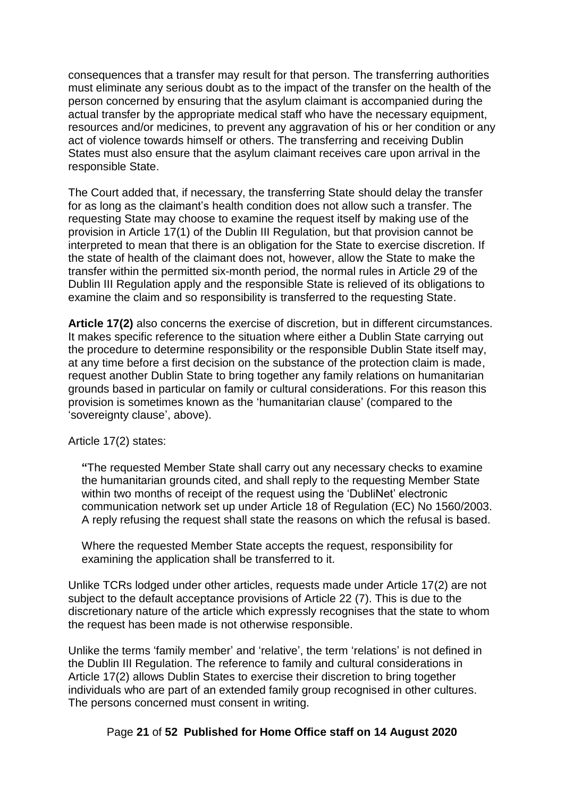consequences that a transfer may result for that person. The transferring authorities must eliminate any serious doubt as to the impact of the transfer on the health of the person concerned by ensuring that the asylum claimant is accompanied during the actual transfer by the appropriate medical staff who have the necessary equipment, resources and/or medicines, to prevent any aggravation of his or her condition or any act of violence towards himself or others. The transferring and receiving Dublin States must also ensure that the asylum claimant receives care upon arrival in the responsible State.

The Court added that, if necessary, the transferring State should delay the transfer for as long as the claimant's health condition does not allow such a transfer. The requesting State may choose to examine the request itself by making use of the provision in Article 17(1) of the Dublin III Regulation, but that provision cannot be interpreted to mean that there is an obligation for the State to exercise discretion. If the state of health of the claimant does not, however, allow the State to make the transfer within the permitted six-month period, the normal rules in Article 29 of the Dublin III Regulation apply and the responsible State is relieved of its obligations to examine the claim and so responsibility is transferred to the requesting State.

**Article 17(2)** also concerns the exercise of discretion, but in different circumstances. It makes specific reference to the situation where either a Dublin State carrying out the procedure to determine responsibility or the responsible Dublin State itself may, at any time before a first decision on the substance of the protection claim is made, request another Dublin State to bring together any family relations on humanitarian grounds based in particular on family or cultural considerations. For this reason this provision is sometimes known as the 'humanitarian clause' (compared to the 'sovereignty clause', above).

Article 17(2) states:

**"**The requested Member State shall carry out any necessary checks to examine the humanitarian grounds cited, and shall reply to the requesting Member State within two months of receipt of the request using the 'DubliNet' electronic communication network set up under Article 18 of Regulation (EC) No 1560/2003. A reply refusing the request shall state the reasons on which the refusal is based.

Where the requested Member State accepts the request, responsibility for examining the application shall be transferred to it.

Unlike TCRs lodged under other articles, requests made under Article 17(2) are not subject to the default acceptance provisions of Article 22 (7). This is due to the discretionary nature of the article which expressly recognises that the state to whom the request has been made is not otherwise responsible.

Unlike the terms 'family member' and 'relative', the term 'relations' is not defined in the Dublin III Regulation. The reference to family and cultural considerations in Article 17(2) allows Dublin States to exercise their discretion to bring together individuals who are part of an extended family group recognised in other cultures. The persons concerned must consent in writing.

#### Page **21** of **52 Published for Home Office staff on 14 August 2020**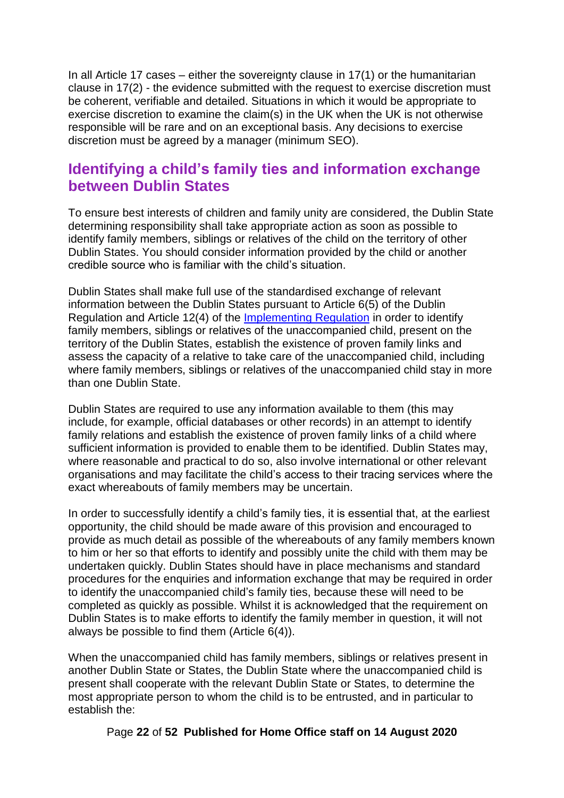In all Article 17 cases – either the sovereignty clause in 17(1) or the humanitarian clause in 17(2) - the evidence submitted with the request to exercise discretion must be coherent, verifiable and detailed. Situations in which it would be appropriate to exercise discretion to examine the claim(s) in the UK when the UK is not otherwise responsible will be rare and on an exceptional basis. Any decisions to exercise discretion must be agreed by a manager (minimum SEO).

## <span id="page-21-0"></span>**Identifying a child's family ties and information exchange between Dublin States**

To ensure best interests of children and family unity are considered, the Dublin State determining responsibility shall take appropriate action as soon as possible to identify family members, siblings or relatives of the child on the territory of other Dublin States. You should consider information provided by the child or another credible source who is familiar with the child's situation.

Dublin States shall make full use of the standardised exchange of relevant information between the Dublin States pursuant to Article 6(5) of the Dublin Regulation and Article 12(4) of the [Implementing Regulation](http://eur-lex.europa.eu/legal-content/EN/TXT/?qid=1509610440039&uri=CELEX:32014R0118) in order to identify family members, siblings or relatives of the unaccompanied child, present on the territory of the Dublin States, establish the existence of proven family links and assess the capacity of a relative to take care of the unaccompanied child, including where family members, siblings or relatives of the unaccompanied child stay in more than one Dublin State.

Dublin States are required to use any information available to them (this may include, for example, official databases or other records) in an attempt to identify family relations and establish the existence of proven family links of a child where sufficient information is provided to enable them to be identified. Dublin States may, where reasonable and practical to do so, also involve international or other relevant organisations and may facilitate the child's access to their tracing services where the exact whereabouts of family members may be uncertain.

In order to successfully identify a child's family ties, it is essential that, at the earliest opportunity, the child should be made aware of this provision and encouraged to provide as much detail as possible of the whereabouts of any family members known to him or her so that efforts to identify and possibly unite the child with them may be undertaken quickly. Dublin States should have in place mechanisms and standard procedures for the enquiries and information exchange that may be required in order to identify the unaccompanied child's family ties, because these will need to be completed as quickly as possible. Whilst it is acknowledged that the requirement on Dublin States is to make efforts to identify the family member in question, it will not always be possible to find them (Article 6(4)).

When the unaccompanied child has family members, siblings or relatives present in another Dublin State or States, the Dublin State where the unaccompanied child is present shall cooperate with the relevant Dublin State or States, to determine the most appropriate person to whom the child is to be entrusted, and in particular to establish the:

#### Page **22** of **52 Published for Home Office staff on 14 August 2020**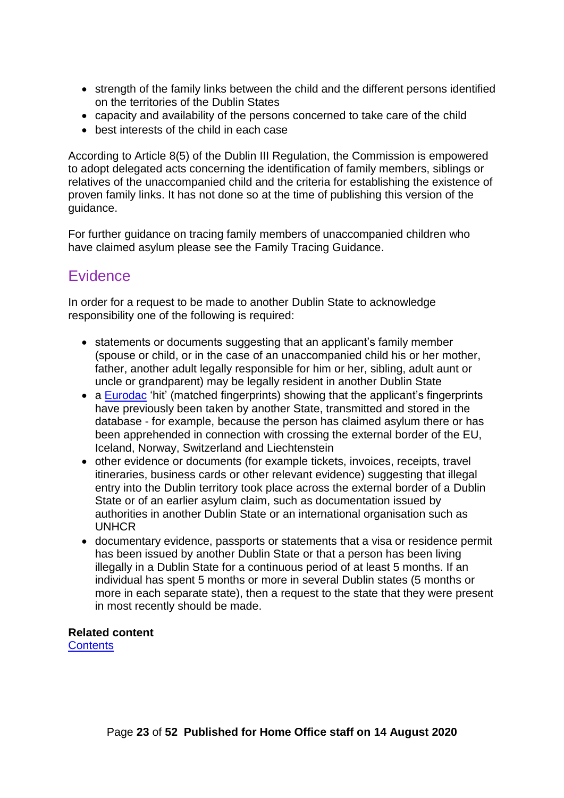- strength of the family links between the child and the different persons identified on the territories of the Dublin States
- capacity and availability of the persons concerned to take care of the child
- best interests of the child in each case

According to Article 8(5) of the Dublin III Regulation, the Commission is empowered to adopt delegated acts concerning the identification of family members, siblings or relatives of the unaccompanied child and the criteria for establishing the existence of proven family links. It has not done so at the time of publishing this version of the guidance.

For further guidance on tracing family members of unaccompanied children who have claimed asylum please see the Family Tracing Guidance.

## <span id="page-22-0"></span>**Evidence**

In order for a request to be made to another Dublin State to acknowledge responsibility one of the following is required:

- statements or documents suggesting that an applicant's family member (spouse or child, or in the case of an unaccompanied child his or her mother, father, another adult legally responsible for him or her, sibling, adult aunt or uncle or grandparent) may be legally resident in another Dublin State
- a [Eurodac](#page-10-3) 'hit' (matched fingerprints) showing that the applicant's fingerprints have previously been taken by another State, transmitted and stored in the database - for example, because the person has claimed asylum there or has been apprehended in connection with crossing the external border of the EU, Iceland, Norway, Switzerland and Liechtenstein
- other evidence or documents (for example tickets, invoices, receipts, travel itineraries, business cards or other relevant evidence) suggesting that illegal entry into the Dublin territory took place across the external border of a Dublin State or of an earlier asylum claim, such as documentation issued by authorities in another Dublin State or an international organisation such as UNHCR
- documentary evidence, passports or statements that a visa or residence permit has been issued by another Dublin State or that a person has been living illegally in a Dublin State for a continuous period of at least 5 months. If an individual has spent 5 months or more in several Dublin states (5 months or more in each separate state), then a request to the state that they were present in most recently should be made.

#### **Related content [Contents](#page-1-0)**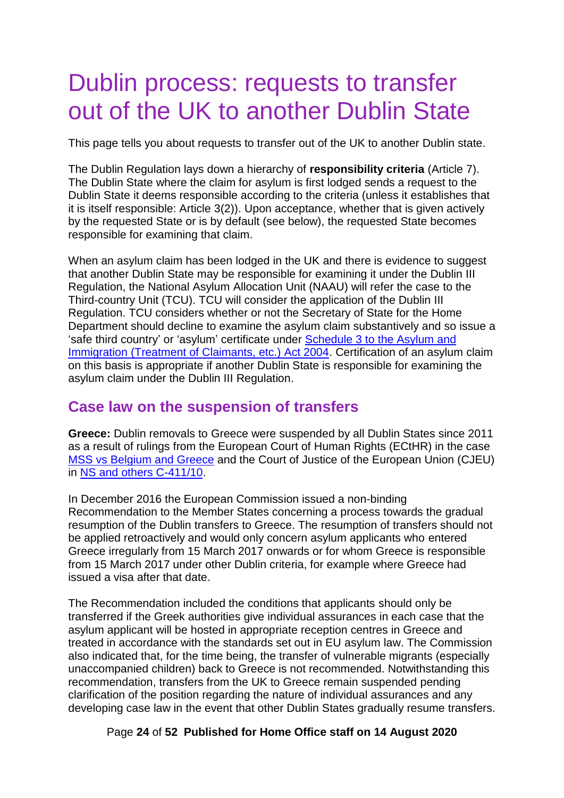# <span id="page-23-0"></span>Dublin process: requests to transfer out of the UK to another Dublin State

This page tells you about requests to transfer out of the UK to another Dublin state.

The Dublin Regulation lays down a hierarchy of **responsibility criteria** (Article 7). The Dublin State where the claim for asylum is first lodged sends a request to the Dublin State it deems responsible according to the criteria (unless it establishes that it is itself responsible: Article 3(2)). Upon acceptance, whether that is given actively by the requested State or is by default (see below), the requested State becomes responsible for examining that claim.

When an asylum claim has been lodged in the UK and there is evidence to suggest that another Dublin State may be responsible for examining it under the Dublin III Regulation, the National Asylum Allocation Unit (NAAU) will refer the case to the Third-country Unit (TCU). TCU will consider the application of the Dublin III Regulation. TCU considers whether or not the Secretary of State for the Home Department should decline to examine the asylum claim substantively and so issue a 'safe third country' or 'asylum' certificate under [Schedule 3 to the Asylum and](http://www.legislation.gov.uk/ukpga/2004/19/schedule/3)  [Immigration \(Treatment of Claimants, etc.\) Act 2004.](http://www.legislation.gov.uk/ukpga/2004/19/schedule/3) Certification of an asylum claim on this basis is appropriate if another Dublin State is responsible for examining the asylum claim under the Dublin III Regulation.

## <span id="page-23-1"></span>**Case law on the suspension of transfers**

**Greece:** Dublin removals to Greece were suspended by all Dublin States since 2011 as a result of rulings from the European Court of Human Rights (ECtHR) in the case [MSS vs Belgium and Greece](http://www.bailii.org/eu/cases/ECHR/2011/108.html) and the Court of Justice of the European Union (CJEU) in [NS and others C-411/10.](http://curia.europa.eu/juris/document/document.jsf;jsessionid=9ea7d2dc30d6adf8ab66d62e48afbdc5ec3159609ab3.e34KaxiLc3qMb40Rch0SaxyMbx90?text=&docid=117187&pageIndex=0&doclang=EN&mode=lst&dir=&occ=first&part=1&cid=688715)

In December 2016 the European Commission issued a non-binding Recommendation to the Member States concerning a process towards the gradual resumption of the Dublin transfers to Greece. The resumption of transfers should not be applied retroactively and would only concern asylum applicants who entered Greece irregularly from 15 March 2017 onwards or for whom Greece is responsible from 15 March 2017 under other Dublin criteria, for example where Greece had issued a visa after that date.

The Recommendation included the conditions that applicants should only be transferred if the Greek authorities give individual assurances in each case that the asylum applicant will be hosted in appropriate reception centres in Greece and treated in accordance with the standards set out in EU asylum law. The Commission also indicated that, for the time being, the transfer of vulnerable migrants (especially unaccompanied children) back to Greece is not recommended. Notwithstanding this recommendation, transfers from the UK to Greece remain suspended pending clarification of the position regarding the nature of individual assurances and any developing case law in the event that other Dublin States gradually resume transfers.

Page **24** of **52 Published for Home Office staff on 14 August 2020**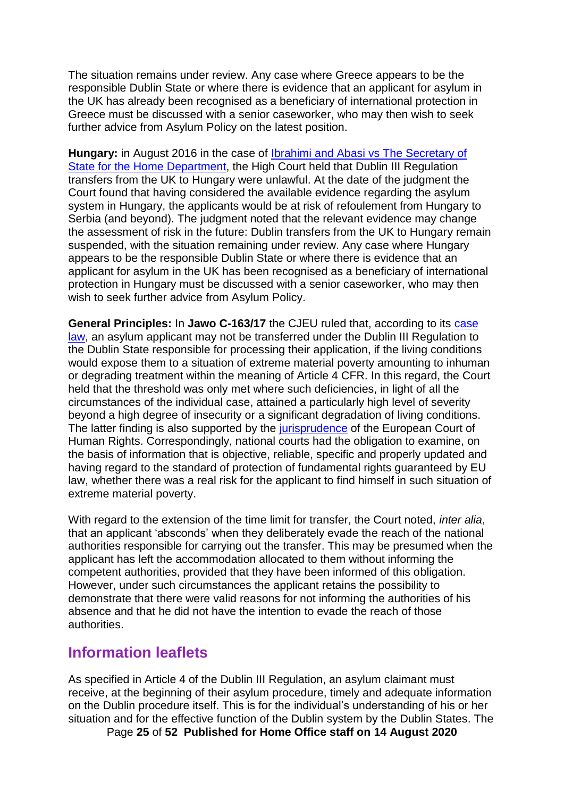The situation remains under review. Any case where Greece appears to be the responsible Dublin State or where there is evidence that an applicant for asylum in the UK has already been recognised as a beneficiary of international protection in Greece must be discussed with a senior caseworker, who may then wish to seek further advice from Asylum Policy on the latest position.

**Hungary:** in August 2016 in the case of [Ibrahimi and Abasi vs The Secretary of](http://www.bailii.org/ew/cases/EWHC/Admin/2016/2049.html)  [State for the Home Department,](http://www.bailii.org/ew/cases/EWHC/Admin/2016/2049.html) the High Court held that Dublin III Regulation transfers from the UK to Hungary were unlawful. At the date of the judgment the Court found that having considered the available evidence regarding the asylum system in Hungary, the applicants would be at risk of refoulement from Hungary to Serbia (and beyond). The judgment noted that the relevant evidence may change the assessment of risk in the future: Dublin transfers from the UK to Hungary remain suspended, with the situation remaining under review. Any case where Hungary appears to be the responsible Dublin State or where there is evidence that an applicant for asylum in the UK has been recognised as a beneficiary of international protection in Hungary must be discussed with a senior caseworker, who may then wish to seek further advice from Asylum Policy.

**General Principles:** In **Jawo C-163/17** the CJEU ruled that, according to its [case](https://www.asylumlawdatabase.eu/en/content/cjeu-c-411-10-and-c-493-10-joined-cases-ns-v-united-kingdom-and-me-v-ireland)  [law,](https://www.asylumlawdatabase.eu/en/content/cjeu-c-411-10-and-c-493-10-joined-cases-ns-v-united-kingdom-and-me-v-ireland) an asylum applicant may not be transferred under the Dublin III Regulation to the Dublin State responsible for processing their application, if the living conditions would expose them to a situation of extreme material poverty amounting to inhuman or degrading treatment within the meaning of Article 4 CFR. In this regard, the Court held that the threshold was only met where such deficiencies, in light of all the circumstances of the individual case, attained a particularly high level of severity beyond a high degree of insecurity or a significant degradation of living conditions. The latter finding is also supported by the [jurisprudence](https://www.asylumlawdatabase.eu/en/content/ecthr-mss-v-belgium-and-greece-gc-application-no-3069609) of the European Court of Human Rights. Correspondingly, national courts had the obligation to examine, on the basis of information that is objective, reliable, specific and properly updated and having regard to the standard of protection of fundamental rights guaranteed by EU law, whether there was a real risk for the applicant to find himself in such situation of extreme material poverty.

With regard to the extension of the time limit for transfer, the Court noted, *inter alia*, that an applicant 'absconds' when they deliberately evade the reach of the national authorities responsible for carrying out the transfer. This may be presumed when the applicant has left the accommodation allocated to them without informing the competent authorities, provided that they have been informed of this obligation. However, under such circumstances the applicant retains the possibility to demonstrate that there were valid reasons for not informing the authorities of his absence and that he did not have the intention to evade the reach of those authorities.

#### <span id="page-24-0"></span>**Information leaflets**

As specified in Article 4 of the Dublin III Regulation, an asylum claimant must receive, at the beginning of their asylum procedure, timely and adequate information on the Dublin procedure itself. This is for the individual's understanding of his or her situation and for the effective function of the Dublin system by the Dublin States. The

Page **25** of **52 Published for Home Office staff on 14 August 2020**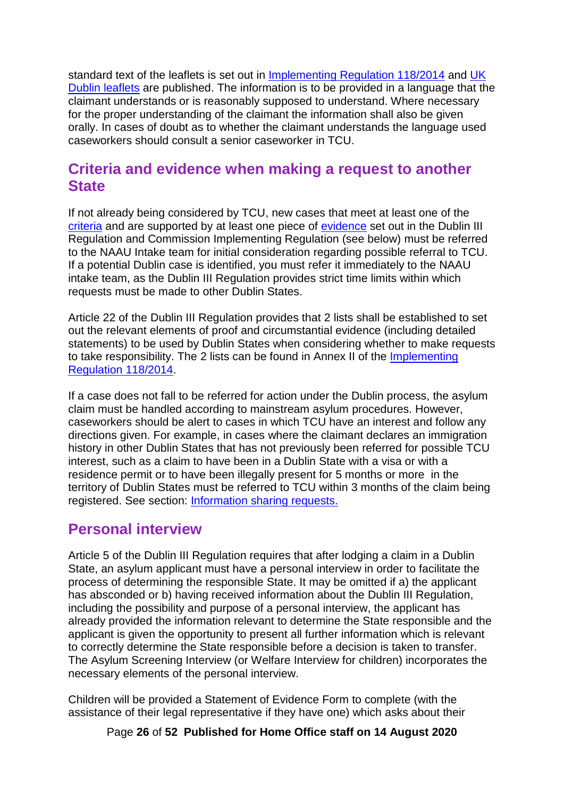standard text of the leaflets is set out in [Implementing Regulation 118/2014](http://eur-lex.europa.eu/legal-content/EN/TXT/?qid=1509610440039&uri=CELEX:32014R0118) and [UK](https://www.gov.uk/government/collections/asylum-claims-and-the-dublin-regulations)  [Dublin leaflets](https://www.gov.uk/government/collections/asylum-claims-and-the-dublin-regulations) are published. The information is to be provided in a language that the claimant understands or is reasonably supposed to understand. Where necessary for the proper understanding of the claimant the information shall also be given orally. In cases of doubt as to whether the claimant understands the language used caseworkers should consult a senior caseworker in TCU.

### <span id="page-25-0"></span>**Criteria and evidence when making a request to another State**

If not already being considered by TCU, new cases that meet at least one of the [criteria](#page-14-0) and are supported by at least one piece of [evidence](#page-22-0) set out in the Dublin III Regulation and Commission Implementing Regulation (see below) must be referred to the NAAU Intake team for initial consideration regarding possible referral to TCU. If a potential Dublin case is identified, you must refer it immediately to the NAAU intake team, as the Dublin III Regulation provides strict time limits within which requests must be made to other Dublin States.

Article 22 of the Dublin III Regulation provides that 2 lists shall be established to set out the relevant elements of proof and circumstantial evidence (including detailed statements) to be used by Dublin States when considering whether to make requests to take responsibility. The 2 lists can be found in Annex II of the [Implementing](http://eur-lex.europa.eu/legal-content/EN/TXT/?qid=1509610440039&uri=CELEX:32014R0118)  [Regulation 118/2014.](http://eur-lex.europa.eu/legal-content/EN/TXT/?qid=1509610440039&uri=CELEX:32014R0118)

If a case does not fall to be referred for action under the Dublin process, the asylum claim must be handled according to mainstream asylum procedures. However, caseworkers should be alert to cases in which TCU have an interest and follow any directions given. For example, in cases where the claimant declares an immigration history in other Dublin States that has not previously been referred for possible TCU interest, such as a claim to have been in a Dublin State with a visa or with a residence permit or to have been illegally present for 5 months or more in the territory of Dublin States must be referred to TCU within 3 months of the claim being registered. See section: [Information sharing requests.](#page-30-1)

## <span id="page-25-1"></span>**Personal interview**

Article 5 of the Dublin III Regulation requires that after lodging a claim in a Dublin State, an asylum applicant must have a personal interview in order to facilitate the process of determining the responsible State. It may be omitted if a) the applicant has absconded or b) having received information about the Dublin III Regulation, including the possibility and purpose of a personal interview, the applicant has already provided the information relevant to determine the State responsible and the applicant is given the opportunity to present all further information which is relevant to correctly determine the State responsible before a decision is taken to transfer. The Asylum Screening Interview (or Welfare Interview for children) incorporates the necessary elements of the personal interview.

Children will be provided a Statement of Evidence Form to complete (with the assistance of their legal representative if they have one) which asks about their

Page **26** of **52 Published for Home Office staff on 14 August 2020**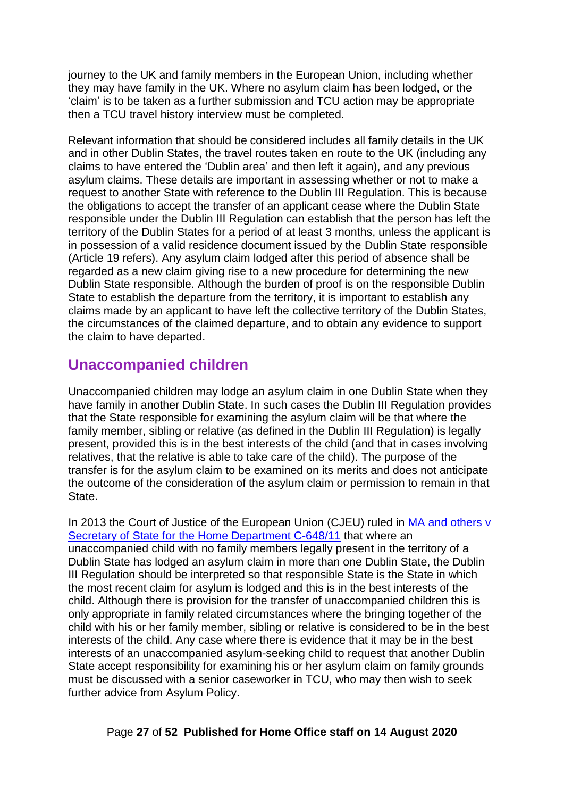<span id="page-26-1"></span>journey to the UK and family members in the European Union, including whether they may have family in the UK. Where no asylum claim has been lodged, or the 'claim' is to be taken as a further submission and TCU action may be appropriate then a TCU travel history interview must be completed.

Relevant information that should be considered includes all family details in the UK and in other Dublin States, the travel routes taken en route to the UK (including any claims to have entered the 'Dublin area' and then left it again), and any previous asylum claims. These details are important in assessing whether or not to make a request to another State with reference to the Dublin III Regulation. This is because the obligations to accept the transfer of an applicant cease where the Dublin State responsible under the Dublin III Regulation can establish that the person has left the territory of the Dublin States for a period of at least 3 months, unless the applicant is in possession of a valid residence document issued by the Dublin State responsible (Article 19 refers). Any asylum claim lodged after this period of absence shall be regarded as a new claim giving rise to a new procedure for determining the new Dublin State responsible. Although the burden of proof is on the responsible Dublin State to establish the departure from the territory, it is important to establish any claims made by an applicant to have left the collective territory of the Dublin States, the circumstances of the claimed departure, and to obtain any evidence to support the claim to have departed.

## <span id="page-26-0"></span>**Unaccompanied children**

Unaccompanied children may lodge an asylum claim in one Dublin State when they have family in another Dublin State. In such cases the Dublin III Regulation provides that the State responsible for examining the asylum claim will be that where the family member, sibling or relative (as defined in the Dublin III Regulation) is legally present, provided this is in the best interests of the child (and that in cases involving relatives, that the relative is able to take care of the child). The purpose of the transfer is for the asylum claim to be examined on its merits and does not anticipate the outcome of the consideration of the asylum claim or permission to remain in that State.

In 2013 the Court of Justice of the European Union (CJEU) ruled in MA and others v [Secretary of State for the Home Department C-648/11](http://curia.europa.eu/juris/document/document.jsf;jsessionid=9ea7d0f130d51ea214c3672e457cb9e0f8fa9978a40b.e34KaxiLc3eQc40LaxqMbN4Pa3qOe0?text=&docid=138088&pageIndex=0&doclang=en&mode=lst&dir=&occ=first&part=1&cid=908438) that where an unaccompanied child with no family members legally present in the territory of a Dublin State has lodged an asylum claim in more than one Dublin State, the Dublin III Regulation should be interpreted so that responsible State is the State in which the most recent claim for asylum is lodged and this is in the best interests of the child. Although there is provision for the transfer of unaccompanied children this is only appropriate in family related circumstances where the bringing together of the child with his or her family member, sibling or relative is considered to be in the best interests of the child. Any case where there is evidence that it may be in the best interests of an unaccompanied asylum-seeking child to request that another Dublin State accept responsibility for examining his or her asylum claim on family grounds must be discussed with a senior caseworker in TCU, who may then wish to seek further advice from Asylum Policy.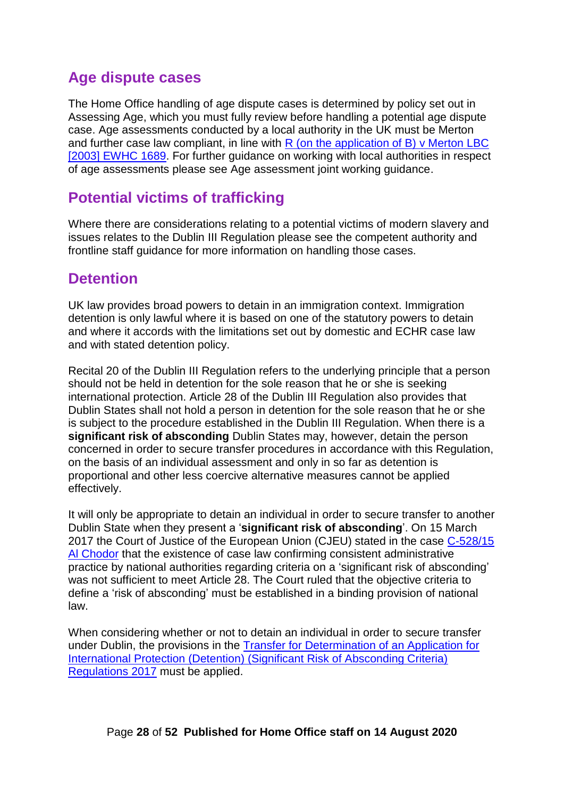# **Age dispute cases**

The Home Office handling of age dispute cases is determined by policy set out in Assessing Age, which you must fully review before handling a potential age dispute case. Age assessments conducted by a local authority in the UK must be Merton and further case law compliant, in line with  $R$  (on the application of B) v Merton LBC [\[2003\] EWHC 1689.](http://www.bailii.org/ew/cases/EWHC/Admin/2003/1689.html) For further guidance on working with local authorities in respect of age assessments please see Age assessment joint working guidance.

## <span id="page-27-0"></span>**Potential victims of trafficking**

Where there are considerations relating to a potential victims of modern slavery and issues relates to the Dublin III Regulation please see the competent authority and frontline staff guidance for more information on handling those cases.

## <span id="page-27-1"></span>**Detention**

UK law provides broad powers to detain in an immigration context. Immigration detention is only lawful where it is based on one of the statutory powers to detain and where it accords with the limitations set out by domestic and ECHR case law and with stated detention policy.

Recital 20 of the Dublin III Regulation refers to the underlying principle that a person should not be held in detention for the sole reason that he or she is seeking international protection. [Article](http://eur-lex.europa.eu/legal-content/EN/TXT/PDF/?uri=CELEX:32013R0604&from=EN#page=16) 28 of the Dublin III Regulation also provides that Dublin States shall not hold a person in detention for the sole reason that he or she is subject to the procedure established in the Dublin III Regulation. When there is a **significant risk of absconding** Dublin States may, however, detain the person concerned in order to secure transfer procedures in accordance with this Regulation, on the basis of an individual assessment and only in so far as detention is proportional and other less coercive alternative measures cannot be applied effectively.

It will only be appropriate to detain an individual in order to secure transfer to another Dublin State when they present a '**significant risk of absconding**'. On 15 March 2017 the Court of Justice of the European Union (CJEU) stated in the case C-528/15 [Al Chodor](http://curia.europa.eu/juris/celex.jsf?celex=62015CJ0528&lang1=en&type=TXT&ancre=) that the existence of case law confirming consistent administrative practice by national authorities regarding criteria on a 'significant risk of absconding' was not sufficient to meet Article 28. The Court ruled that the objective criteria to define a 'risk of absconding' must be established in a binding provision of national law.

When considering whether or not to detain an individual in order to secure transfer under Dublin, the provisions in the [Transfer for Determination of an Application for](http://www.legislation.gov.uk/uksi/2017/405/contents/made)  [International Protection \(Detention\) \(Significant Risk of Absconding Criteria\)](http://www.legislation.gov.uk/uksi/2017/405/contents/made)  [Regulations 2017](http://www.legislation.gov.uk/uksi/2017/405/contents/made) must be applied.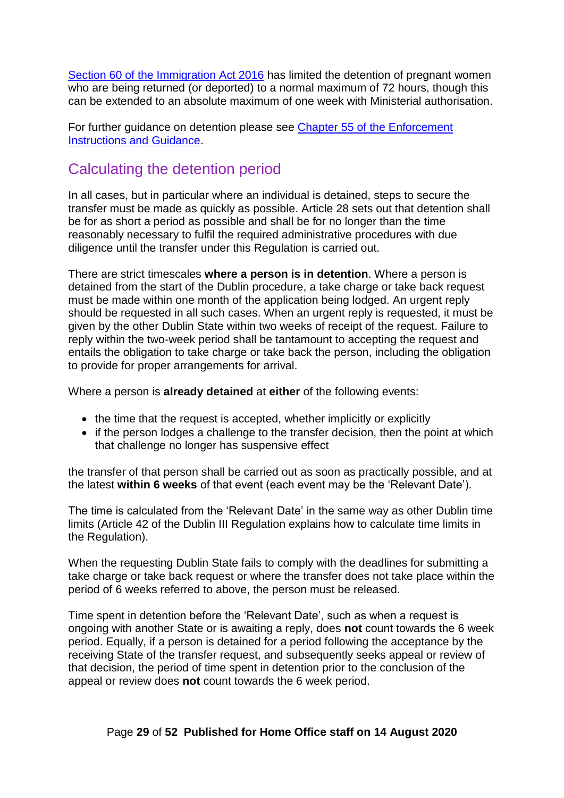[Section 60 of the Immigration Act 2016](http://www.legislation.gov.uk/ukpga/2016/19/section/60/enacted) has limited the detention of pregnant women who are being returned (or deported) to a normal maximum of 72 hours, though this can be extended to an absolute maximum of one week with Ministerial authorisation.

For further guidance on detention please see [Chapter 55 of the Enforcement](https://www.gov.uk/government/publications/offender-management)  [Instructions and Guidance.](https://www.gov.uk/government/publications/offender-management)

## <span id="page-28-0"></span>Calculating the detention period

In all cases, but in particular where an individual is detained, steps to secure the transfer must be made as quickly as possible. Article 28 sets out that detention shall be for as short a period as possible and shall be for no longer than the time reasonably necessary to fulfil the required administrative procedures with due diligence until the transfer under this Regulation is carried out.

There are strict timescales **where a person is in detention**. Where a person is detained from the start of the Dublin procedure, a take charge or take back request must be made within one month of the application being lodged. An urgent reply should be requested in all such cases. When an urgent reply is requested, it must be given by the other Dublin State within two weeks of receipt of the request. Failure to reply within the two-week period shall be tantamount to accepting the request and entails the obligation to take charge or take back the person, including the obligation to provide for proper arrangements for arrival.

Where a person is **already detained** at **either** of the following events:

- the time that the request is accepted, whether implicitly or explicitly
- if the person lodges a challenge to the transfer decision, then the point at which that challenge no longer has suspensive effect

the transfer of that person shall be carried out as soon as practically possible, and at the latest **within 6 weeks** of that event (each event may be the 'Relevant Date').

The time is calculated from the 'Relevant Date' in the same way as other Dublin time limits (Article 42 of the Dublin III Regulation explains how to calculate time limits in the Regulation).

When the requesting Dublin State fails to comply with the deadlines for submitting a take charge or take back request or where the transfer does not take place within the period of 6 weeks referred to above, the person must be released.

Time spent in detention before the 'Relevant Date', such as when a request is ongoing with another State or is awaiting a reply, does **not** count towards the 6 week period. Equally, if a person is detained for a period following the acceptance by the receiving State of the transfer request, and subsequently seeks appeal or review of that decision, the period of time spent in detention prior to the conclusion of the appeal or review does **not** count towards the 6 week period.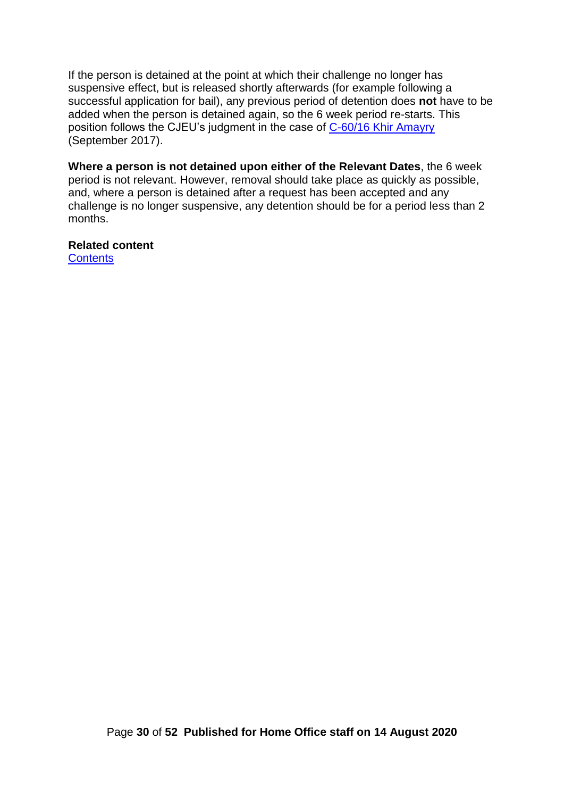If the person is detained at the point at which their challenge no longer has suspensive effect, but is released shortly afterwards (for example following a successful application for bail), any previous period of detention does **not** have to be added when the person is detained again, so the 6 week period re-starts. This position follows the CJEU's judgment in the case of [C-60/16 Khir Amayry](http://curia.europa.eu/juris/celex.jsf?celex=62016CJ0060&lang1=en&type=TXT&ancre=) (September 2017).

**Where a person is not detained upon either of the Relevant Dates**, the 6 week period is not relevant. However, removal should take place as quickly as possible, and, where a person is detained after a request has been accepted and any challenge is no longer suspensive, any detention should be for a period less than 2 months.

# **Related content**

**[Contents](#page-1-0)**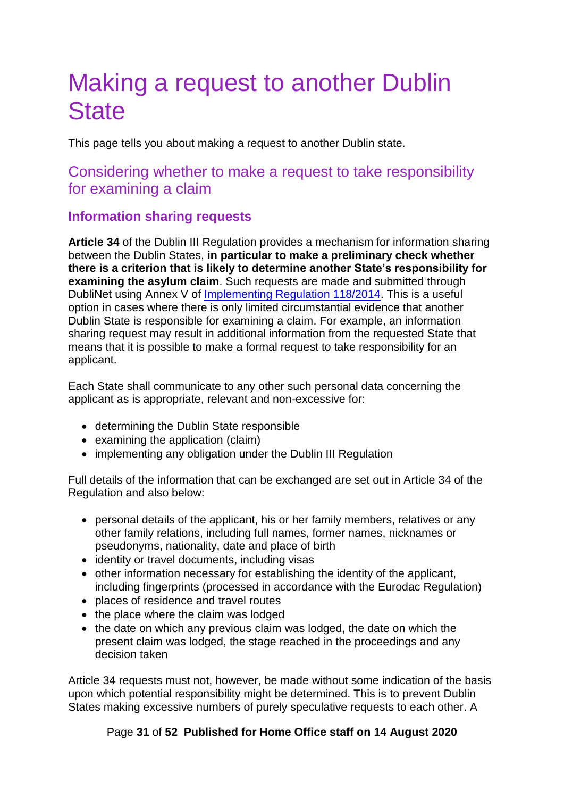# <span id="page-30-0"></span>Making a request to another Dublin **State**

This page tells you about making a request to another Dublin state.

### <span id="page-30-1"></span>Considering whether to make a request to take responsibility for examining a claim

#### <span id="page-30-2"></span>**Information sharing requests**

**Article 34** of the Dublin III Regulation provides a mechanism for information sharing between the Dublin States, **in particular to make a preliminary check whether there is a criterion that is likely to determine another State's responsibility for examining the asylum claim**. Such requests are made and submitted through DubliNet using Annex V of [Implementing Regulation 118/2014.](http://eur-lex.europa.eu/legal-content/EN/TXT/?qid=1509610440039&uri=CELEX:32014R0118) This is a useful option in cases where there is only limited circumstantial evidence that another Dublin State is responsible for examining a claim. For example, an information sharing request may result in additional information from the requested State that means that it is possible to make a formal request to take responsibility for an applicant.

Each State shall communicate to any other such personal data concerning the applicant as is appropriate, relevant and non-excessive for:

- determining the Dublin State responsible
- examining the application (claim)
- implementing any obligation under the Dublin III Regulation

Full details of the information that can be exchanged are set out in Article 34 of the Regulation and also below:

- personal details of the applicant, his or her family members, relatives or any other family relations, including full names, former names, nicknames or pseudonyms, nationality, date and place of birth
- identity or travel documents, including visas
- other information necessary for establishing the identity of the applicant, including fingerprints (processed in accordance with the Eurodac Regulation)
- places of residence and travel routes
- the place where the claim was lodged
- the date on which any previous claim was lodged, the date on which the present claim was lodged, the stage reached in the proceedings and any decision taken

Article 34 requests must not, however, be made without some indication of the basis upon which potential responsibility might be determined. This is to prevent Dublin States making excessive numbers of purely speculative requests to each other. A

#### Page **31** of **52 Published for Home Office staff on 14 August 2020**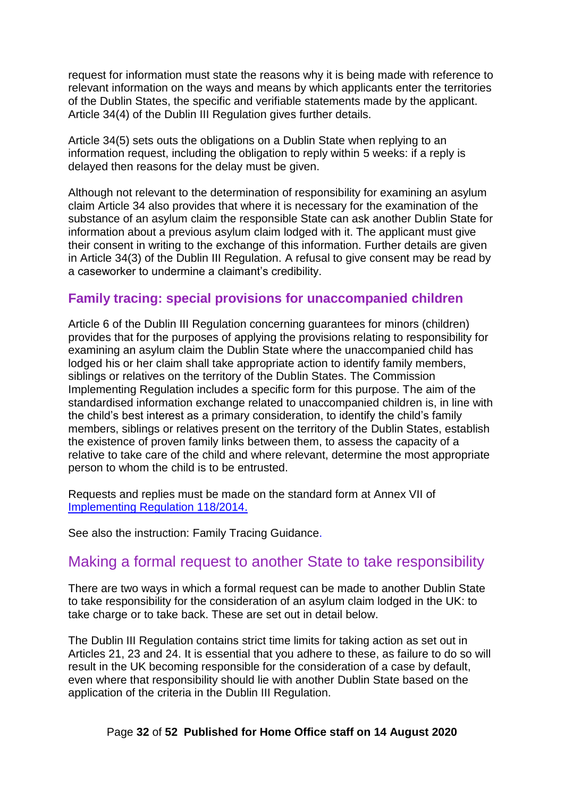<span id="page-31-2"></span>request for information must state the reasons why it is being made with reference to relevant information on the ways and means by which applicants enter the territories of the Dublin States, the specific and verifiable statements made by the applicant. Article 34(4) of the Dublin III Regulation gives further details.

Article 34(5) sets outs the obligations on a Dublin State when replying to an information request, including the obligation to reply within 5 weeks: if a reply is delayed then reasons for the delay must be given.

Although not relevant to the determination of responsibility for examining an asylum claim Article 34 also provides that where it is necessary for the examination of the substance of an asylum claim the responsible State can ask another Dublin State for information about a previous asylum claim lodged with it. The applicant must give their consent in writing to the exchange of this information. Further details are given in Article 34(3) of the Dublin III Regulation. A refusal to give consent may be read by a caseworker to undermine a claimant's credibility.

#### <span id="page-31-0"></span>**Family tracing: special provisions for unaccompanied children**

Article 6 of the Dublin III Regulation concerning guarantees for minors (children) provides that for the purposes of applying the provisions relating to responsibility for examining an asylum claim the Dublin State where the unaccompanied child has lodged his or her claim shall take appropriate action to identify family members, siblings or relatives on the territory of the Dublin States. The Commission Implementing Regulation includes a specific form for this purpose. The aim of the standardised information exchange related to unaccompanied children is, in line with the child's best interest as a primary consideration, to identify the child's family members, siblings or relatives present on the territory of the Dublin States, establish the existence of proven family links between them, to assess the capacity of a relative to take care of the child and where relevant, determine the most appropriate person to whom the child is to be entrusted.

Requests and replies must be made on the standard form at Annex VII of [Implementing Regulation 118/2014.](http://eur-lex.europa.eu/legal-content/EN/TXT/?qid=1509610440039&uri=CELEX:32014R0118)

See also the instruction: Family Tracing Guidance.

### <span id="page-31-1"></span>Making a formal request to another State to take responsibility

There are two ways in which a formal request can be made to another Dublin State to take responsibility for the consideration of an asylum claim lodged in the UK: to take charge or to take back. These are set out in detail below.

The Dublin III Regulation contains strict time limits for taking action as set out in Articles 21, 23 and 24. It is essential that you adhere to these, as failure to do so will result in the UK becoming responsible for the consideration of a case by default, even where that responsibility should lie with another Dublin State based on the application of the criteria in the Dublin III Regulation.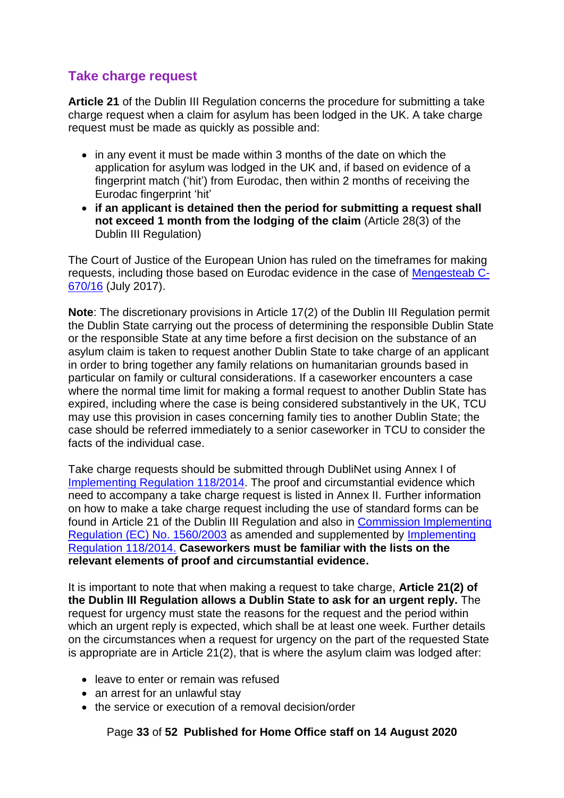#### **Take charge request**

**Article 21** of the Dublin III Regulation concerns the procedure for submitting a take charge request when a claim for asylum has been lodged in the UK. A take charge request must be made as quickly as possible and:

- in any event it must be made within 3 months of the date on which the application for asylum was lodged in the UK and, if based on evidence of a fingerprint match ('hit') from Eurodac, then within 2 months of receiving the Eurodac fingerprint 'hit'
- **if an applicant is detained then the period for submitting a request shall not exceed 1 month from the lodging of the claim** (Article 28(3) of the Dublin III Regulation)

The Court of Justice of the European Union has ruled on the timeframes for making requests, including those based on Eurodac evidence in the case of [Mengesteab C-](http://curia.europa.eu/juris/document/document.jsf?docid=193208&doclang=en)[670/16](http://curia.europa.eu/juris/document/document.jsf?docid=193208&doclang=en) (July 2017).

**Note**: The discretionary provisions in Article 17(2) of the Dublin III Regulation permit the Dublin State carrying out the process of determining the responsible Dublin State or the responsible State at any time before a first decision on the substance of an asylum claim is taken to request another Dublin State to take charge of an applicant in order to bring together any family relations on humanitarian grounds based in particular on family or cultural considerations. If a caseworker encounters a case where the normal time limit for making a formal request to another Dublin State has expired, including where the case is being considered substantively in the UK, TCU may use this provision in cases concerning family ties to another Dublin State; the case should be referred immediately to a senior caseworker in TCU to consider the facts of the individual case.

Take charge requests should be submitted through DubliNet using Annex I of [Implementing Regulation 118/2014.](http://eur-lex.europa.eu/legal-content/EN/TXT/?qid=1509610440039&uri=CELEX:32014R0118) The proof and circumstantial evidence which need to accompany a take charge request is listed in Annex II. Further information on how to make a take charge request including the use of standard forms can be found in Article 21 of the Dublin III Regulation and also in [Commission Implementing](http://eur-lex.europa.eu/legal-content/EN/TXT/PDF/?uri=CELEX:32003R1560&qid=1468333811689&from=EN)  [Regulation \(EC\) No. 1560/2003](http://eur-lex.europa.eu/legal-content/EN/TXT/PDF/?uri=CELEX:32003R1560&qid=1468333811689&from=EN) as amended and supplemented by [Implementing](http://eur-lex.europa.eu/legal-content/EN/TXT/?qid=1509610440039&uri=CELEX:32014R0118)  [Regulation 118/2014.](http://eur-lex.europa.eu/legal-content/EN/TXT/?qid=1509610440039&uri=CELEX:32014R0118) **Caseworkers must be familiar with the lists on the relevant elements of proof and circumstantial evidence.**

It is important to note that when making a request to take charge, **Article 21(2) of the Dublin III Regulation allows a Dublin State to ask for an urgent reply.** The request for urgency must state the reasons for the request and the period within which an urgent reply is expected, which shall be at least one week. Further details on the circumstances when a request for urgency on the part of the requested State is appropriate are in Article 21(2), that is where the asylum claim was lodged after:

- leave to enter or remain was refused
- an arrest for an unlawful stay
- the service or execution of a removal decision/order

Page **33** of **52 Published for Home Office staff on 14 August 2020**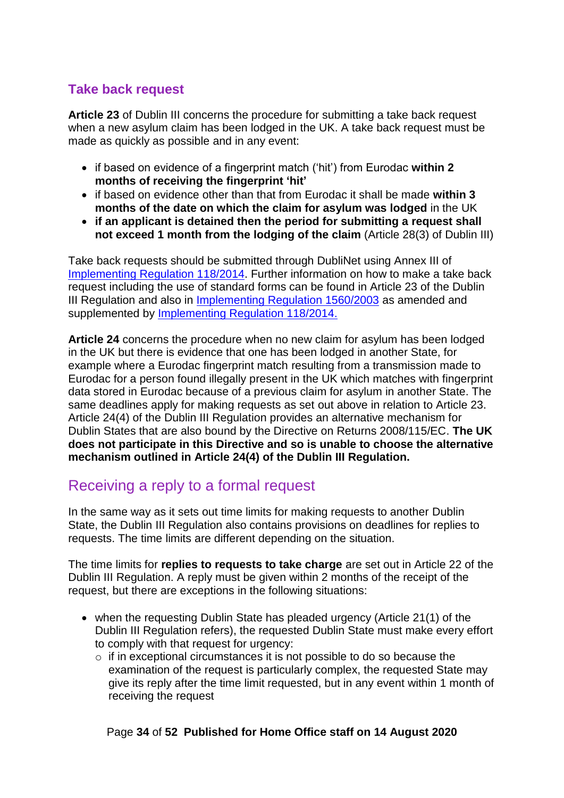#### <span id="page-33-0"></span>**Take back request**

**Article 23** of Dublin III concerns the procedure for submitting a take back request when a new asylum claim has been lodged in the UK. A take back request must be made as quickly as possible and in any event:

- if based on evidence of a fingerprint match ('hit') from Eurodac **within 2 months of receiving the fingerprint 'hit'**
- if based on evidence other than that from Eurodac it shall be made **within 3 months of the date on which the claim for asylum was lodged** in the UK
- **if an applicant is detained then the period for submitting a request shall not exceed 1 month from the lodging of the claim** (Article 28(3) of Dublin III)

Take back requests should be submitted through DubliNet using Annex III of [Implementing Regulation 118/2014.](http://eur-lex.europa.eu/legal-content/EN/TXT/?qid=1509610440039&uri=CELEX:32014R0118) Further information on how to make a take back request including the use of standard forms can be found in Article 23 of the Dublin III Regulation and also in [Implementing Regulation 1560/2003](http://eur-lex.europa.eu/legal-content/EN/TXT/?uri=CELEX:32003R1560) as amended and supplemented by [Implementing Regulation 118/2014.](http://eur-lex.europa.eu/legal-content/EN/TXT/?qid=1509610440039&uri=CELEX:32014R0118)

**Article 24** concerns the procedure when no new claim for asylum has been lodged in the UK but there is evidence that one has been lodged in another State, for example where a Eurodac fingerprint match resulting from a transmission made to Eurodac for a person found illegally present in the UK which matches with fingerprint data stored in Eurodac because of a previous claim for asylum in another State. The same deadlines apply for making requests as set out above in relation to Article 23. Article 24(4) of the Dublin III Regulation provides an alternative mechanism for Dublin States that are also bound by the Directive on Returns 2008/115/EC. **The UK does not participate in this Directive and so is unable to choose the alternative mechanism outlined in Article 24(4) of the Dublin III Regulation.**

## <span id="page-33-1"></span>Receiving a reply to a formal request

In the same way as it sets out time limits for making requests to another Dublin State, the Dublin III Regulation also contains provisions on deadlines for replies to requests. The time limits are different depending on the situation.

The time limits for **replies to requests to take charge** are set out in Article 22 of the Dublin III Regulation. A reply must be given within 2 months of the receipt of the request, but there are exceptions in the following situations:

- when the requesting Dublin State has pleaded urgency (Article 21(1) of the Dublin III Regulation refers), the requested Dublin State must make every effort to comply with that request for urgency:
	- $\circ$  if in exceptional circumstances it is not possible to do so because the examination of the request is particularly complex, the requested State may give its reply after the time limit requested, but in any event within 1 month of receiving the request

#### Page **34** of **52 Published for Home Office staff on 14 August 2020**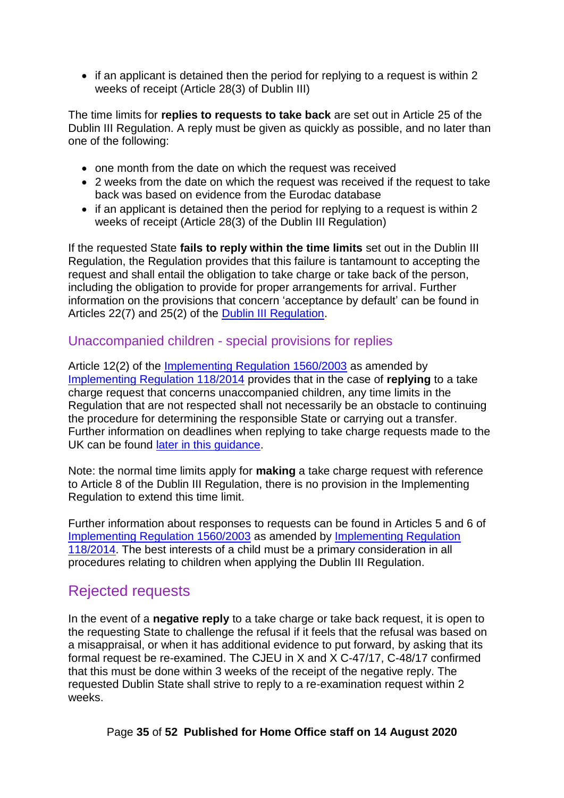• if an applicant is detained then the period for replying to a request is within 2 weeks of receipt (Article 28(3) of Dublin III)

The time limits for **replies to requests to take back** are set out in Article 25 of the Dublin III Regulation. A reply must be given as quickly as possible, and no later than one of the following:

- one month from the date on which the request was received
- 2 weeks from the date on which the request was received if the request to take back was based on evidence from the Eurodac database
- if an applicant is detained then the period for replying to a request is within 2 weeks of receipt (Article 28(3) of the Dublin III Regulation)

If the requested State **fails to reply within the time limits** set out in the Dublin III Regulation, the Regulation provides that this failure is tantamount to accepting the request and shall entail the obligation to take charge or take back of the person, including the obligation to provide for proper arrangements for arrival. Further information on the provisions that concern 'acceptance by default' can be found in Articles 22(7) and 25(2) of the [Dublin III Regulation.](http://eur-lex.europa.eu/legal-content/EN/ALL/?uri=CELEX:32013R0604)

#### <span id="page-34-0"></span>Unaccompanied children - special provisions for replies

Article 12(2) of the [Implementing Regulation 1560/2003](http://eur-lex.europa.eu/legal-content/EN/TXT/?uri=CELEX:32003R1560) as amended by [Implementing Regulation 118/2014](http://eur-lex.europa.eu/legal-content/EN/TXT/?qid=1509610440039&uri=CELEX:32014R0118) provides that in the case of **replying** to a take charge request that concerns unaccompanied children, any time limits in the Regulation that are not respected shall not necessarily be an obstacle to continuing the procedure for determining the responsible State or carrying out a transfer. Further information on deadlines when replying to take charge requests made to the UK can be found [later in this guidance.](#page-48-1)

Note: the normal time limits apply for **making** a take charge request with reference to Article 8 of the Dublin III Regulation, there is no provision in the Implementing Regulation to extend this time limit.

Further information about responses to requests can be found in Articles 5 and 6 of [Implementing Regulation 1560/2003](http://eur-lex.europa.eu/legal-content/EN/TXT/?uri=CELEX:32003R1560) as amended by [Implementing Regulation](http://eur-lex.europa.eu/legal-content/EN/TXT/?qid=1509610440039&uri=CELEX:32014R0118)  [118/2014.](http://eur-lex.europa.eu/legal-content/EN/TXT/?qid=1509610440039&uri=CELEX:32014R0118) The best interests of a child must be a primary consideration in all procedures relating to children when applying the Dublin III Regulation.

# <span id="page-34-1"></span>Rejected requests

In the event of a **negative reply** to a take charge or take back request, it is open to the requesting State to challenge the refusal if it feels that the refusal was based on a misappraisal, or when it has additional evidence to put forward, by asking that its formal request be re-examined. The CJEU in X and X C-47/17, C-48/17 confirmed that this must be done within 3 weeks of the receipt of the negative reply. The requested Dublin State shall strive to reply to a re-examination request within 2 weeks.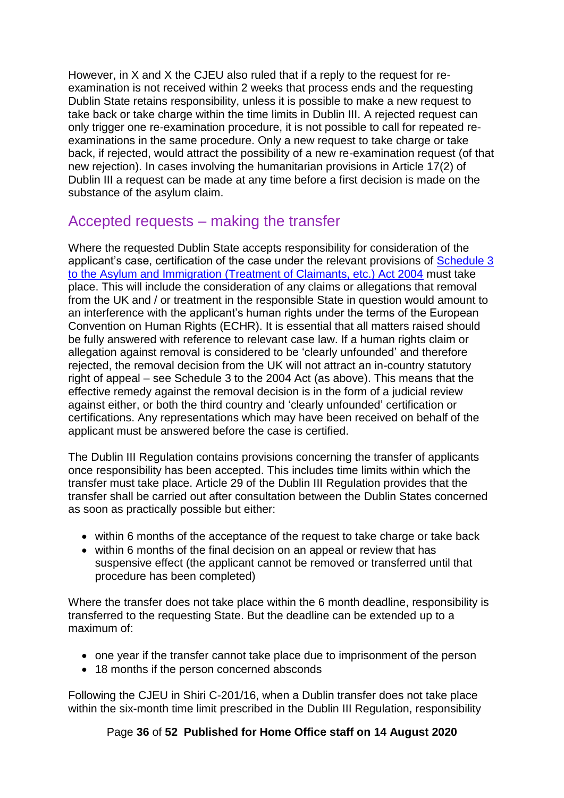However, in X and X the CJEU also ruled that if a reply to the request for reexamination is not received within 2 weeks that process ends and the requesting Dublin State retains responsibility, unless it is possible to make a new request to take back or take charge within the time limits in Dublin III. A rejected request can only trigger one re-examination procedure, it is not possible to call for repeated reexaminations in the same procedure. Only a new request to take charge or take back, if rejected, would attract the possibility of a new re-examination request (of that new rejection). In cases involving the humanitarian provisions in Article 17(2) of Dublin III a request can be made at any time before a first decision is made on the substance of the asylum claim.

## <span id="page-35-0"></span>Accepted requests – making the transfer

Where the requested Dublin State accepts responsibility for consideration of the applicant's case, certification of the case under the relevant provisions of [Schedule 3](http://www.legislation.gov.uk/ukpga/2004/19/schedule/3)  [to the Asylum and Immigration \(Treatment of Claimants, etc.\) Act 2004](http://www.legislation.gov.uk/ukpga/2004/19/schedule/3) must take place. This will include the consideration of any claims or allegations that removal from the UK and / or treatment in the responsible State in question would amount to an interference with the applicant's human rights under the terms of the European Convention on Human Rights (ECHR). It is essential that all matters raised should be fully answered with reference to relevant case law. If a human rights claim or allegation against removal is considered to be 'clearly unfounded' and therefore rejected, the removal decision from the UK will not attract an in-country statutory right of appeal – see Schedule 3 to the 2004 Act (as above). This means that the effective remedy against the removal decision is in the form of a judicial review against either, or both the third country and 'clearly unfounded' certification or certifications. Any representations which may have been received on behalf of the applicant must be answered before the case is certified.

The Dublin III Regulation contains provisions concerning the transfer of applicants once responsibility has been accepted. This includes time limits within which the transfer must take place. Article 29 of the Dublin III Regulation provides that the transfer shall be carried out after consultation between the Dublin States concerned as soon as practically possible but either:

- within 6 months of the acceptance of the request to take charge or take back
- within 6 months of the final decision on an appeal or review that has suspensive effect (the applicant cannot be removed or transferred until that procedure has been completed)

Where the transfer does not take place within the 6 month deadline, responsibility is transferred to the requesting State. But the deadline can be extended up to a maximum of:

- one year if the transfer cannot take place due to imprisonment of the person
- 18 months if the person concerned absconds

Following the CJEU in Shiri C-201/16, when a Dublin transfer does not take place within the six-month time limit prescribed in the Dublin III Regulation, responsibility

#### Page **36** of **52 Published for Home Office staff on 14 August 2020**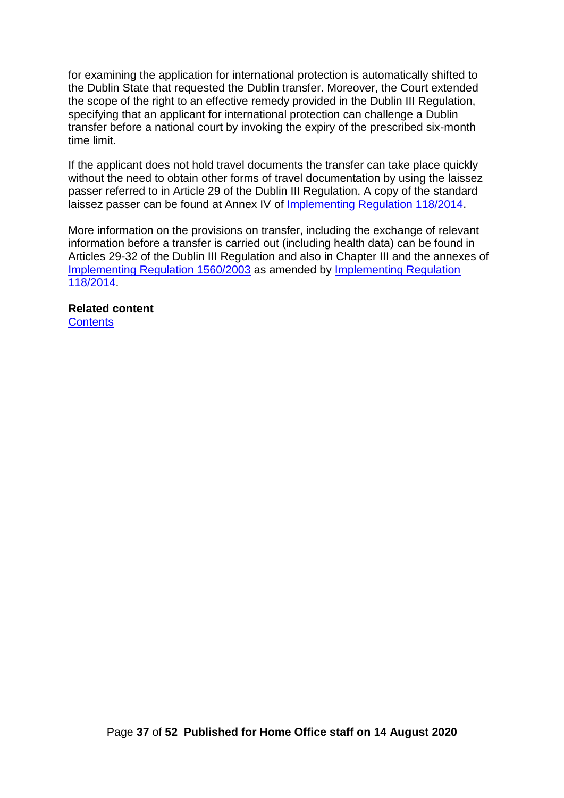for examining the application for international protection is automatically shifted to the Dublin State that requested the Dublin transfer. Moreover, the Court extended the scope of the right to an effective remedy provided in the Dublin III Regulation, specifying that an applicant for international protection can challenge a Dublin transfer before a national court by invoking the expiry of the prescribed six-month time limit.

If the applicant does not hold travel documents the transfer can take place quickly without the need to obtain other forms of travel documentation by using the laissez passer referred to in Article 29 of the Dublin III Regulation. A copy of the standard laissez passer can be found at Annex IV of [Implementing Regulation 118/2014.](http://eur-lex.europa.eu/legal-content/EN/TXT/?qid=1509610440039&uri=CELEX:32014R0118)

More information on the provisions on transfer, including the exchange of relevant information before a transfer is carried out (including health data) can be found in Articles 29-32 of the Dublin III Regulation and also in Chapter III and the annexes of [Implementing Regulation 1560/2003](http://eur-lex.europa.eu/legal-content/EN/TXT/?uri=CELEX:32003R1560) as amended by [Implementing Regulation](http://eur-lex.europa.eu/legal-content/EN/TXT/?qid=1509610440039&uri=CELEX:32014R0118) [118/2014.](http://eur-lex.europa.eu/legal-content/EN/TXT/?qid=1509610440039&uri=CELEX:32014R0118)

**Related content [Contents](#page-1-0)**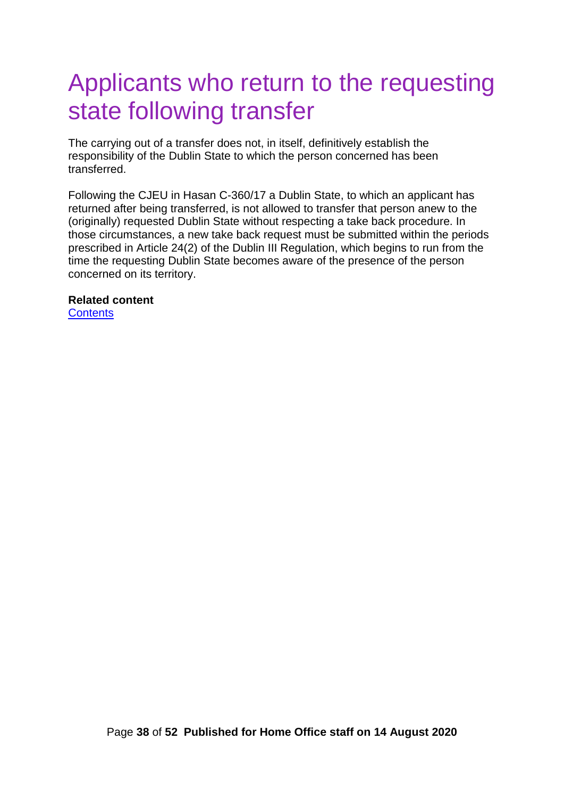# <span id="page-37-0"></span>Applicants who return to the requesting state following transfer

The carrying out of a transfer does not, in itself, definitively establish the responsibility of the Dublin State to which the person concerned has been transferred.

Following the CJEU in Hasan C-360/17 a Dublin State, to which an applicant has returned after being transferred, is not allowed to transfer that person anew to the (originally) requested Dublin State without respecting a take back procedure. In those circumstances, a new take back request must be submitted within the periods prescribed in Article 24(2) of the Dublin III Regulation, which begins to run from the time the requesting Dublin State becomes aware of the presence of the person concerned on its territory.

#### **Related content**

**[Contents](#page-1-0)**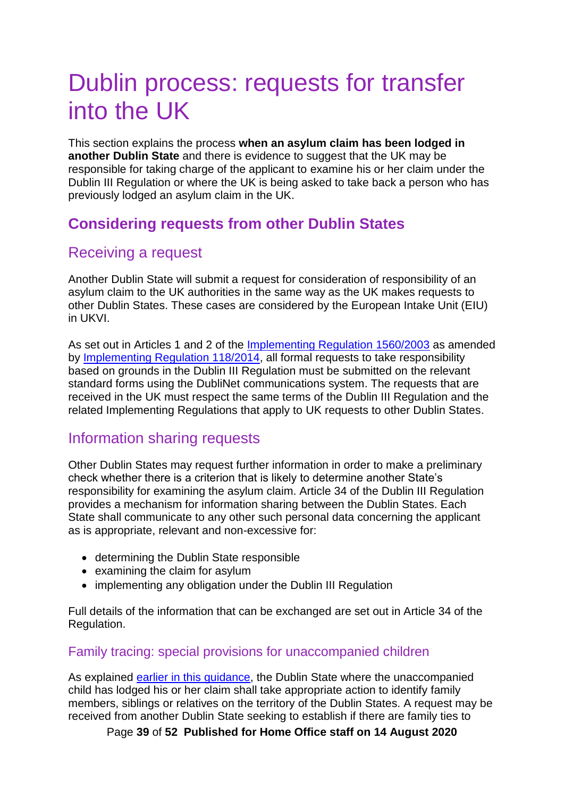# <span id="page-38-0"></span>Dublin process: requests for transfer into the UK

This section explains the process **when an asylum claim has been lodged in another Dublin State** and there is evidence to suggest that the UK may be responsible for taking charge of the applicant to examine his or her claim under the Dublin III Regulation or where the UK is being asked to take back a person who has previously lodged an asylum claim in the UK.

# <span id="page-38-1"></span>**Considering requests from other Dublin States**

## <span id="page-38-2"></span>Receiving a request

Another Dublin State will submit a request for consideration of responsibility of an asylum claim to the UK authorities in the same way as the UK makes requests to other Dublin States. These cases are considered by the European Intake Unit (EIU) in UKVI.

As set out in Articles 1 and 2 of the [Implementing Regulation 1560/2003](http://eur-lex.europa.eu/legal-content/EN/TXT/?uri=CELEX:32003R1560) as amended by [Implementing Regulation 118/2014,](http://eur-lex.europa.eu/legal-content/EN/TXT/?qid=1509610440039&uri=CELEX:32014R0118) all formal requests to take responsibility based on grounds in the Dublin III Regulation must be submitted on the relevant standard forms using the DubliNet communications system. The requests that are received in the UK must respect the same terms of the Dublin III Regulation and the related Implementing Regulations that apply to UK requests to other Dublin States.

### <span id="page-38-3"></span>Information sharing requests

Other Dublin States may request further information in order to make a preliminary check whether there is a criterion that is likely to determine another State's responsibility for examining the asylum claim. Article 34 of the Dublin III Regulation provides a mechanism for information sharing between the Dublin States. Each State shall communicate to any other such personal data concerning the applicant as is appropriate, relevant and non-excessive for:

- determining the Dublin State responsible
- examining the claim for asylum
- implementing any obligation under the Dublin III Regulation

Full details of the information that can be exchanged are set out in Article 34 of the Regulation.

#### <span id="page-38-4"></span>Family tracing: special provisions for unaccompanied children

As explained [earlier in this guidance,](#page-30-1) the Dublin State where the unaccompanied child has lodged his or her claim shall take appropriate action to identify family members, siblings or relatives on the territory of the Dublin States. A request may be received from another Dublin State seeking to establish if there are family ties to

Page **39** of **52 Published for Home Office staff on 14 August 2020**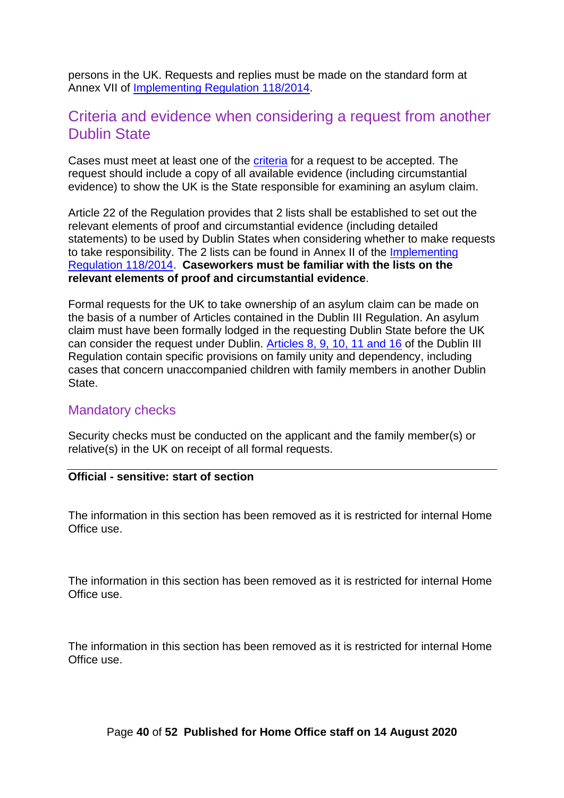persons in the UK. Requests and replies must be made on the standard form at Annex VII of [Implementing Regulation 118/2014.](http://eur-lex.europa.eu/legal-content/EN/TXT/?qid=1509610440039&uri=CELEX:32014R0118)

### <span id="page-39-0"></span>Criteria and evidence when considering a request from another Dublin State

Cases must meet at least one of the [criteria](#page-14-0) for a request to be accepted. The request should include a copy of all available evidence (including circumstantial evidence) to show the UK is the State responsible for examining an asylum claim.

Article 22 of the Regulation provides that 2 lists shall be established to set out the relevant elements of proof and circumstantial evidence (including detailed statements) to be used by Dublin States when considering whether to make requests to take responsibility. The 2 lists can be found in Annex II of the [Implementing](http://eur-lex.europa.eu/legal-content/EN/TXT/?qid=1509610440039&uri=CELEX:32014R0118)  [Regulation 118/2014.](http://eur-lex.europa.eu/legal-content/EN/TXT/?qid=1509610440039&uri=CELEX:32014R0118) **Caseworkers must be familiar with the lists on the relevant elements of proof and circumstantial evidence**.

Formal requests for the UK to take ownership of an asylum claim can be made on the basis of a number of Articles contained in the Dublin III Regulation. An asylum claim must have been formally lodged in the requesting Dublin State before the UK can consider the request under Dublin. [Articles 8, 9, 10, 11 and 16](#page-14-2) of the Dublin III Regulation contain specific provisions on family unity and dependency, including cases that concern unaccompanied children with family members in another Dublin State.

#### <span id="page-39-1"></span>Mandatory checks

Security checks must be conducted on the applicant and the family member(s) or relative(s) in the UK on receipt of all formal requests.

#### **Official - sensitive: start of section**

The information in this section has been removed as it is restricted for internal Home Office use.

The information in this section has been removed as it is restricted for internal Home Office use.

The information in this section has been removed as it is restricted for internal Home Office use.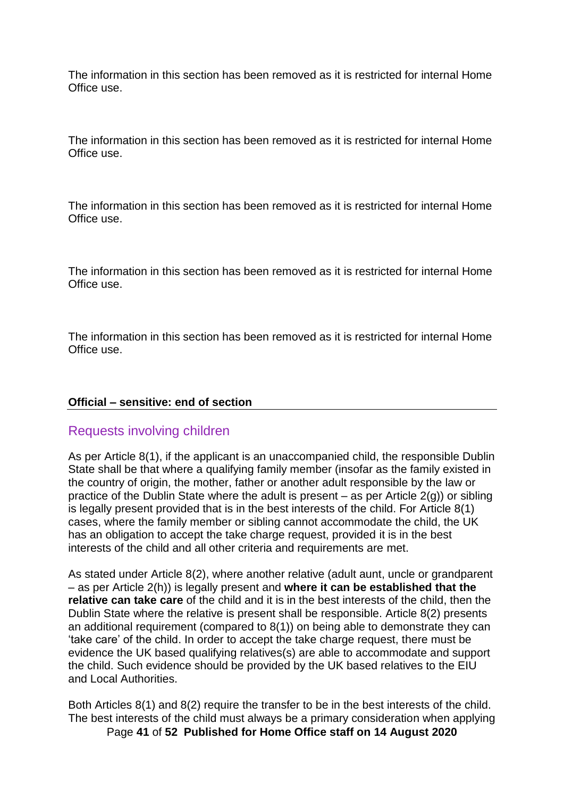The information in this section has been removed as it is restricted for internal Home Office use.

The information in this section has been removed as it is restricted for internal Home Office use.

The information in this section has been removed as it is restricted for internal Home Office use.

The information in this section has been removed as it is restricted for internal Home Office use.

The information in this section has been removed as it is restricted for internal Home Office use.

#### **Official – sensitive: end of section**

#### <span id="page-40-0"></span>Requests involving children

As per Article 8(1), if the applicant is an unaccompanied child, the responsible Dublin State shall be that where a qualifying family member (insofar as the family existed in the country of origin, the mother, father or another adult responsible by the law or practice of the Dublin State where the adult is present – as per Article 2(g)) or sibling is legally present provided that is in the best interests of the child. For Article 8(1) cases, where the family member or sibling cannot accommodate the child, the UK has an obligation to accept the take charge request, provided it is in the best interests of the child and all other criteria and requirements are met.

As stated under Article 8(2), where another relative (adult aunt, uncle or grandparent – as per Article 2(h)) is legally present and **where it can be established that the relative can take care** of the child and it is in the best interests of the child, then the Dublin State where the relative is present shall be responsible. Article 8(2) presents an additional requirement (compared to 8(1)) on being able to demonstrate they can 'take care' of the child. In order to accept the take charge request, there must be evidence the UK based qualifying relatives(s) are able to accommodate and support the child. Such evidence should be provided by the UK based relatives to the EIU and Local Authorities.

Page **41** of **52 Published for Home Office staff on 14 August 2020** Both Articles 8(1) and 8(2) require the transfer to be in the best interests of the child. The best interests of the child must always be a primary consideration when applying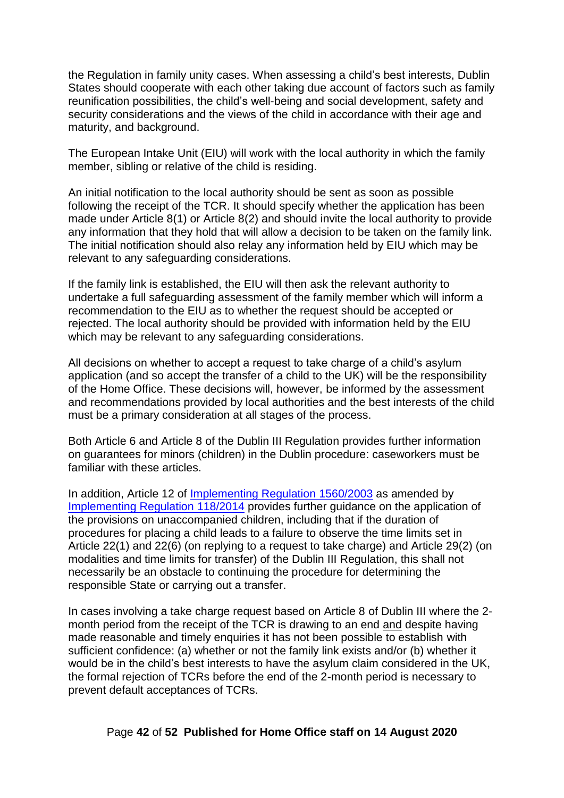the Regulation in family unity cases. When assessing a child's best interests, Dublin States should cooperate with each other taking due account of factors such as family reunification possibilities, the child's well-being and social development, safety and security considerations and the views of the child in accordance with their age and maturity, and background.

The European Intake Unit (EIU) will work with the local authority in which the family member, sibling or relative of the child is residing.

An initial notification to the local authority should be sent as soon as possible following the receipt of the TCR. It should specify whether the application has been made under Article 8(1) or Article 8(2) and should invite the local authority to provide any information that they hold that will allow a decision to be taken on the family link. The initial notification should also relay any information held by EIU which may be relevant to any safeguarding considerations.

If the family link is established, the EIU will then ask the relevant authority to undertake a full safeguarding assessment of the family member which will inform a recommendation to the EIU as to whether the request should be accepted or rejected. The local authority should be provided with information held by the EIU which may be relevant to any safeguarding considerations.

All decisions on whether to accept a request to take charge of a child's asylum application (and so accept the transfer of a child to the UK) will be the responsibility of the Home Office. These decisions will, however, be informed by the assessment and recommendations provided by local authorities and the best interests of the child must be a primary consideration at all stages of the process.

Both Article 6 and Article 8 of the Dublin III Regulation provides further information on guarantees for minors (children) in the Dublin procedure: caseworkers must be familiar with these articles.

In addition, Article 12 of [Implementing Regulation](http://eur-lex.europa.eu/legal-content/EN/TXT/?uri=CELEX:32003R1560) 1560/2003 as amended by [Implementing Regulation 118/2014](http://eur-lex.europa.eu/legal-content/EN/TXT/?qid=1509610440039&uri=CELEX:32014R0118) provides further guidance on the application of the provisions on unaccompanied children, including that if the duration of procedures for placing a child leads to a failure to observe the time limits set in Article 22(1) and 22(6) (on replying to a request to take charge) and Article 29(2) (on modalities and time limits for transfer) of the Dublin III Regulation, this shall not necessarily be an obstacle to continuing the procedure for determining the responsible State or carrying out a transfer.

In cases involving a take charge request based on Article 8 of Dublin III where the 2 month period from the receipt of the TCR is drawing to an end and despite having made reasonable and timely enquiries it has not been possible to establish with sufficient confidence: (a) whether or not the family link exists and/or (b) whether it would be in the child's best interests to have the asylum claim considered in the UK, the formal rejection of TCRs before the end of the 2-month period is necessary to prevent default acceptances of TCRs.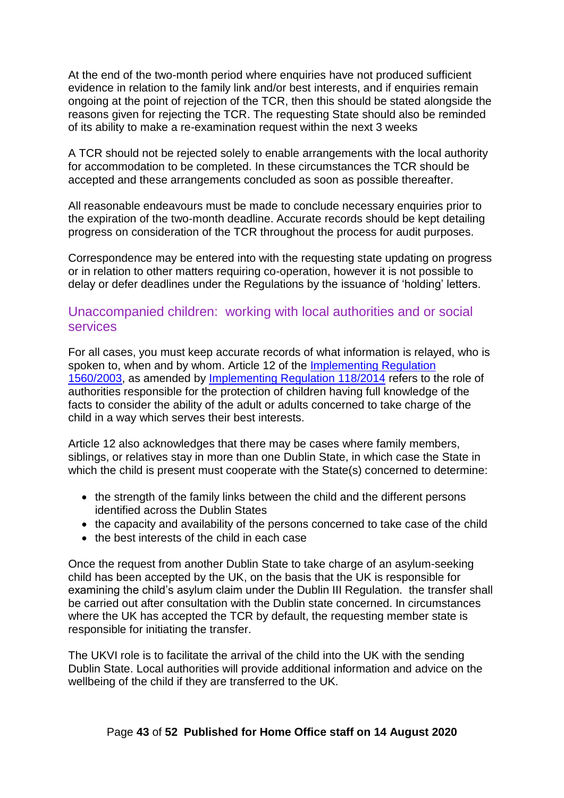At the end of the two-month period where enquiries have not produced sufficient evidence in relation to the family link and/or best interests, and if enquiries remain ongoing at the point of rejection of the TCR, then this should be stated alongside the reasons given for rejecting the TCR. The requesting State should also be reminded of its ability to make a re-examination request within the next 3 weeks

A TCR should not be rejected solely to enable arrangements with the local authority for accommodation to be completed. In these circumstances the TCR should be accepted and these arrangements concluded as soon as possible thereafter.

All reasonable endeavours must be made to conclude necessary enquiries prior to the expiration of the two-month deadline. Accurate records should be kept detailing progress on consideration of the TCR throughout the process for audit purposes.

Correspondence may be entered into with the requesting state updating on progress or in relation to other matters requiring co-operation, however it is not possible to delay or defer deadlines under the Regulations by the issuance of 'holding' letters.

#### <span id="page-42-0"></span>Unaccompanied children: working with local authorities and or social services

For all cases, you must keep accurate records of what information is relayed, who is spoken to, when and by whom. Article 12 of the [Implementing Regulation](http://eur-lex.europa.eu/legal-content/EN/TXT/?uri=CELEX:32003R1560)  [1560/2003,](http://eur-lex.europa.eu/legal-content/EN/TXT/?uri=CELEX:32003R1560) as amended by [Implementing Regulation 118/2014](http://eur-lex.europa.eu/legal-content/EN/TXT/?qid=1509610440039&uri=CELEX:32014R0118) refers to the role of authorities responsible for the protection of children having full knowledge of the facts to consider the ability of the adult or adults concerned to take charge of the child in a way which serves their best interests.

Article 12 also acknowledges that there may be cases where family members, siblings, or relatives stay in more than one Dublin State, in which case the State in which the child is present must cooperate with the State(s) concerned to determine:

- the strength of the family links between the child and the different persons identified across the Dublin States
- the capacity and availability of the persons concerned to take case of the child
- the best interests of the child in each case

Once the request from another Dublin State to take charge of an asylum-seeking child has been accepted by the UK, on the basis that the UK is responsible for examining the child's asylum claim under the Dublin III Regulation. the transfer shall be carried out after consultation with the Dublin state concerned. In circumstances where the UK has accepted the TCR by default, the requesting member state is responsible for initiating the transfer.

The UKVI role is to facilitate the arrival of the child into the UK with the sending Dublin State. Local authorities will provide additional information and advice on the wellbeing of the child if they are transferred to the UK.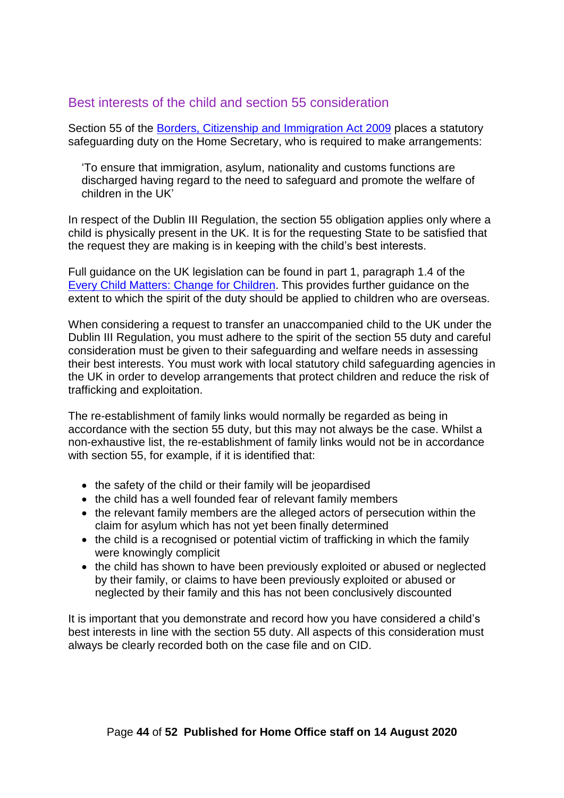#### <span id="page-43-1"></span><span id="page-43-0"></span>Best interests of the child and section 55 consideration

Section 55 of the [Borders, Citizenship and Immigration Act 2009](http://www.legislation.gov.uk/ukpga/2009/11/contents) places a statutory safeguarding duty on the Home Secretary, who is required to make arrangements:

'To ensure that immigration, asylum, nationality and customs functions are discharged having regard to the need to safeguard and promote the welfare of children in the UK'

In respect of the Dublin III Regulation, the section 55 obligation applies only where a child is physically present in the UK. It is for the requesting State to be satisfied that the request they are making is in keeping with the child's best interests.

Full guidance on the UK legislation can be found in part 1, paragraph 1.4 of the [Every Child Matters: Change for Children.](https://www.gov.uk/government/publications/every-child-matters-statutory-guidance) This provides further guidance on the extent to which the spirit of the duty should be applied to children who are overseas.

When considering a request to transfer an unaccompanied child to the UK under the Dublin III Regulation, you must adhere to the spirit of the section 55 duty and careful consideration must be given to their safeguarding and welfare needs in assessing their best interests. You must work with local statutory child safeguarding agencies in the UK in order to develop arrangements that protect children and reduce the risk of trafficking and exploitation.

The re-establishment of family links would normally be regarded as being in accordance with the section 55 duty, but this may not always be the case. Whilst a non-exhaustive list, the re-establishment of family links would not be in accordance with section 55, for example, if it is identified that:

- the safety of the child or their family will be jeopardised
- the child has a well founded fear of relevant family members
- the relevant family members are the alleged actors of persecution within the claim for asylum which has not yet been finally determined
- the child is a recognised or potential victim of trafficking in which the family were knowingly complicit
- the child has shown to have been previously exploited or abused or neglected by their family, or claims to have been previously exploited or abused or neglected by their family and this has not been conclusively discounted

It is important that you demonstrate and record how you have considered a child's best interests in line with the section 55 duty. All aspects of this consideration must always be clearly recorded both on the case file and on CID.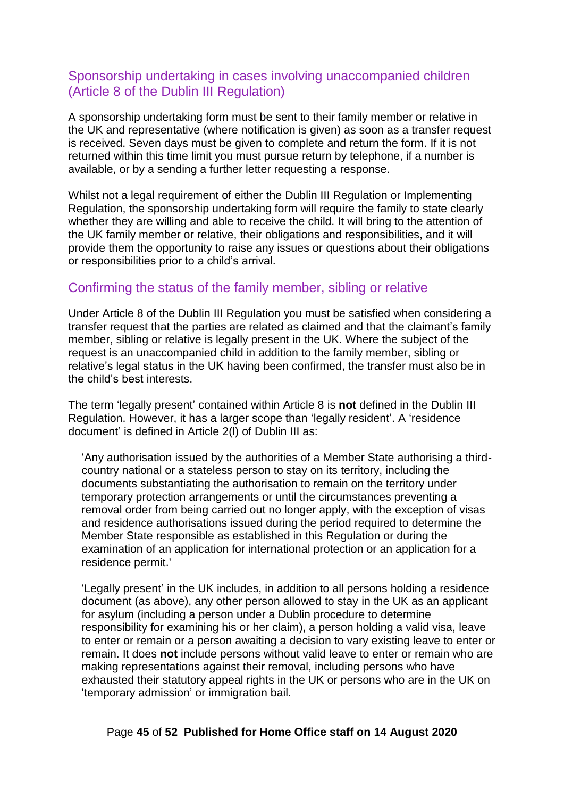#### Sponsorship undertaking in cases involving unaccompanied children (Article 8 of the Dublin III Regulation)

A sponsorship undertaking form must be sent to their family member or relative in the UK and representative (where notification is given) as soon as a transfer request is received. Seven days must be given to complete and return the form. If it is not returned within this time limit you must pursue return by telephone, if a number is available, or by a sending a further letter requesting a response.

Whilst not a legal requirement of either the Dublin III Regulation or Implementing Regulation, the sponsorship undertaking form will require the family to state clearly whether they are willing and able to receive the child. It will bring to the attention of the UK family member or relative, their obligations and responsibilities, and it will provide them the opportunity to raise any issues or questions about their obligations or responsibilities prior to a child's arrival.

#### <span id="page-44-0"></span>Confirming the status of the family member, sibling or relative

Under Article 8 of the Dublin III Regulation you must be satisfied when considering a transfer request that the parties are related as claimed and that the claimant's family member, sibling or relative is legally present in the UK. Where the subject of the request is an unaccompanied child in addition to the family member, sibling or relative's legal status in the UK having been confirmed, the transfer must also be in the child's best interests.

The term 'legally present' contained within Article 8 is **not** defined in the Dublin III Regulation. However, it has a larger scope than 'legally resident'. A 'residence document' is defined in Article 2(l) of Dublin III as:

'Any authorisation issued by the authorities of a Member State authorising a thirdcountry national or a stateless person to stay on its territory, including the documents substantiating the authorisation to remain on the territory under temporary protection arrangements or until the circumstances preventing a removal order from being carried out no longer apply, with the exception of visas and residence authorisations issued during the period required to determine the Member State responsible as established in this Regulation or during the examination of an application for international protection or an application for a residence permit.'

'Legally present' in the UK includes, in addition to all persons holding a residence document (as above), any other person allowed to stay in the UK as an applicant for asylum (including a person under a Dublin procedure to determine responsibility for examining his or her claim), a person holding a valid visa, leave to enter or remain or a person awaiting a decision to vary existing leave to enter or remain. It does **not** include persons without valid leave to enter or remain who are making representations against their removal, including persons who have exhausted their statutory appeal rights in the UK or persons who are in the UK on 'temporary admission' or immigration bail.

#### Page **45** of **52 Published for Home Office staff on 14 August 2020**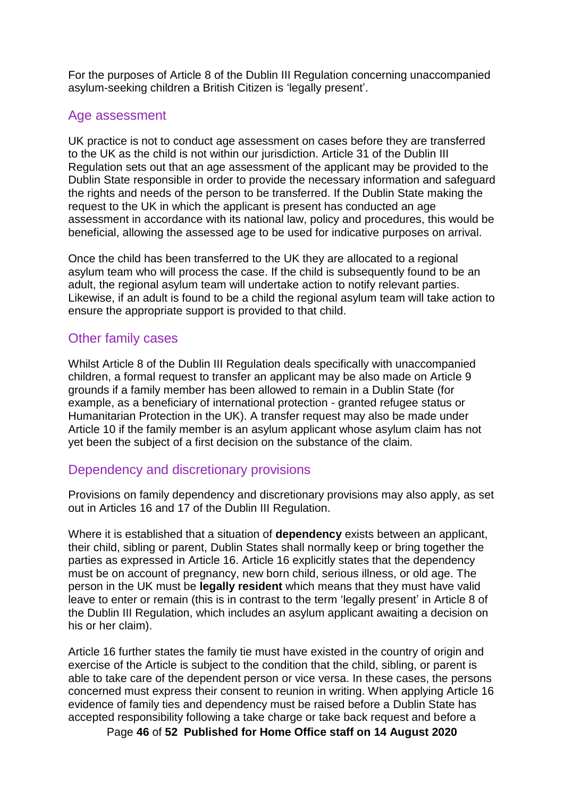For the purposes of Article 8 of the Dublin III Regulation concerning unaccompanied asylum-seeking children a British Citizen is 'legally present'.

#### <span id="page-45-0"></span>Age assessment

UK practice is not to conduct age assessment on cases before they are transferred to the UK as the child is not within our jurisdiction. Article 31 of the Dublin III Regulation sets out that an age assessment of the applicant may be provided to the Dublin State responsible in order to provide the necessary information and safeguard the rights and needs of the person to be transferred. If the Dublin State making the request to the UK in which the applicant is present has conducted an age assessment in accordance with its national law, policy and procedures, this would be beneficial, allowing the assessed age to be used for indicative purposes on arrival.

Once the child has been transferred to the UK they are allocated to a regional asylum team who will process the case. If the child is subsequently found to be an adult, the regional asylum team will undertake action to notify relevant parties. Likewise, if an adult is found to be a child the regional asylum team will take action to ensure the appropriate support is provided to that child.

#### <span id="page-45-1"></span>Other family cases

Whilst Article 8 of the Dublin III Regulation deals specifically with unaccompanied children, a formal request to transfer an applicant may be also made on Article 9 grounds if a family member has been allowed to remain in a Dublin State (for example, as a beneficiary of international protection - granted refugee status or Humanitarian Protection in the UK). A transfer request may also be made under Article 10 if the family member is an asylum applicant whose asylum claim has not yet been the subject of a first decision on the substance of the claim.

#### <span id="page-45-2"></span>Dependency and discretionary provisions

Provisions on family dependency and discretionary provisions may also apply, as set out in Articles 16 and 17 of the Dublin III Regulation.

Where it is established that a situation of **dependency** exists between an applicant, their child, sibling or parent, Dublin States shall normally keep or bring together the parties as expressed in Article 16. Article 16 explicitly states that the dependency must be on account of pregnancy, new born child, serious illness, or old age. The person in the UK must be **legally resident** which means that they must have valid leave to enter or remain (this is in contrast to the term 'legally present' in Article 8 of the Dublin III Regulation, which includes an asylum applicant awaiting a decision on his or her claim).

Article 16 further states the family tie must have existed in the country of origin and exercise of the Article is subject to the condition that the child, sibling, or parent is able to take care of the dependent person or vice versa. In these cases, the persons concerned must express their consent to reunion in writing. When applying Article 16 evidence of family ties and dependency must be raised before a Dublin State has accepted responsibility following a take charge or take back request and before a

Page **46** of **52 Published for Home Office staff on 14 August 2020**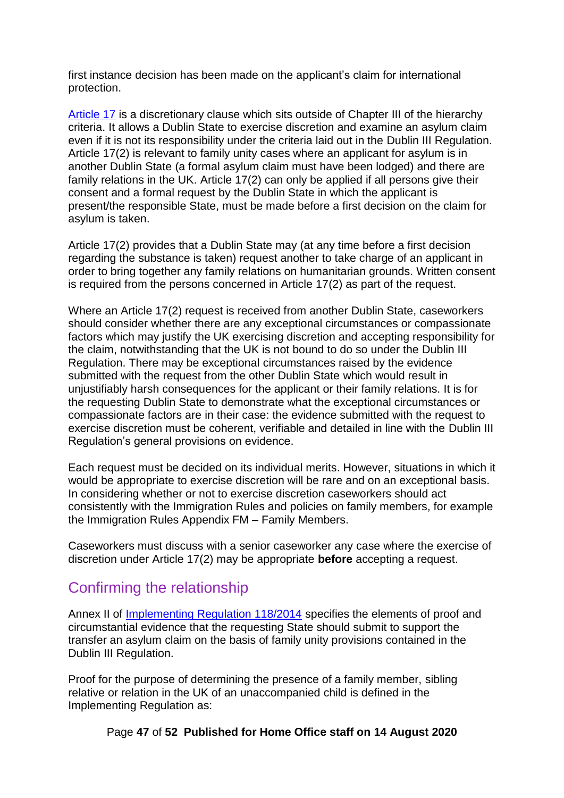first instance decision has been made on the applicant's claim for international protection.

[Article 17](#page-19-1) is a discretionary clause which sits outside of Chapter III of the hierarchy criteria. It allows a Dublin State to exercise discretion and examine an asylum claim even if it is not its responsibility under the criteria laid out in the Dublin III Regulation. Article 17(2) is relevant to family unity cases where an applicant for asylum is in another Dublin State (a formal asylum claim must have been lodged) and there are family relations in the UK. Article 17(2) can only be applied if all persons give their consent and a formal request by the Dublin State in which the applicant is present/the responsible State, must be made before a first decision on the claim for asylum is taken.

Article 17(2) provides that a Dublin State may (at any time before a first decision regarding the substance is taken) request another to take charge of an applicant in order to bring together any family relations on humanitarian grounds. Written consent is required from the persons concerned in Article 17(2) as part of the request.

Where an Article 17(2) request is received from another Dublin State, caseworkers should consider whether there are any exceptional circumstances or compassionate factors which may justify the UK exercising discretion and accepting responsibility for the claim, notwithstanding that the UK is not bound to do so under the Dublin III Regulation. There may be exceptional circumstances raised by the evidence submitted with the request from the other Dublin State which would result in unjustifiably harsh consequences for the applicant or their family relations. It is for the requesting Dublin State to demonstrate what the exceptional circumstances or compassionate factors are in their case: the evidence submitted with the request to exercise discretion must be coherent, verifiable and detailed in line with the Dublin III Regulation's general provisions on evidence.

Each request must be decided on its individual merits. However, situations in which it would be appropriate to exercise discretion will be rare and on an exceptional basis. In considering whether or not to exercise discretion caseworkers should act consistently with the Immigration Rules and policies on family members, for example the Immigration Rules Appendix FM – Family Members.

Caseworkers must discuss with a senior caseworker any case where the exercise of discretion under Article 17(2) may be appropriate **before** accepting a request.

## <span id="page-46-0"></span>Confirming the relationship

Annex II of [Implementing Regulation 118/2014](http://eur-lex.europa.eu/legal-content/EN/TXT/?qid=1509610440039&uri=CELEX:32014R0118) specifies the elements of proof and circumstantial evidence that the requesting State should submit to support the transfer an asylum claim on the basis of family unity provisions contained in the Dublin III Regulation.

Proof for the purpose of determining the presence of a family member, sibling relative or relation in the UK of an unaccompanied child is defined in the Implementing Regulation as:

Page **47** of **52 Published for Home Office staff on 14 August 2020**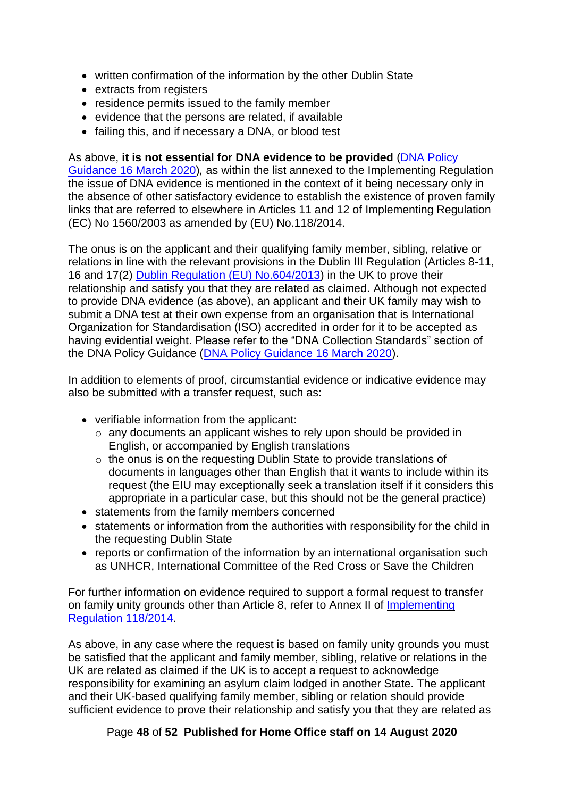- written confirmation of the information by the other Dublin State
- extracts from registers
- residence permits issued to the family member
- evidence that the persons are related, if available
- failing this, and if necessary a DNA, or blood test

As above, **it is not essential for DNA evidence to be provided** [\(DNA Policy](https://www.gov.uk/government/publications/dna-policy)  [Guidance 16 March 2020\)](https://www.gov.uk/government/publications/dna-policy)*,* as within the list annexed to the Implementing Regulation the issue of DNA evidence is mentioned in the context of it being necessary only in the absence of other satisfactory evidence to establish the existence of proven family links that are referred to elsewhere in Articles 11 and 12 of Implementing Regulation (EC) No 1560/2003 as amended by (EU) No.118/2014.

The onus is on the applicant and their qualifying family member, sibling, relative or relations in line with the relevant provisions in the Dublin III Regulation (Articles 8-11, 16 and 17(2) [Dublin Regulation \(EU\) No.604/2013\)](http://eur-lex.europa.eu/legal-content/EN/ALL/?uri=CELEX:32013R0604) in the UK to prove their relationship and satisfy you that they are related as claimed. Although not expected to provide DNA evidence (as above), an applicant and their UK family may wish to submit a DNA test at their own expense from an organisation that is International Organization for Standardisation (ISO) accredited in order for it to be accepted as having evidential weight. Please refer to the "DNA Collection Standards" section of the DNA Policy Guidance [\(DNA Policy Guidance 16 March 2020\)](https://www.gov.uk/government/publications/dna-policy).

In addition to elements of proof, circumstantial evidence or indicative evidence may also be submitted with a transfer request, such as:

- verifiable information from the applicant:
	- o any documents an applicant wishes to rely upon should be provided in English, or accompanied by English translations
	- o the onus is on the requesting Dublin State to provide translations of documents in languages other than English that it wants to include within its request (the EIU may exceptionally seek a translation itself if it considers this appropriate in a particular case, but this should not be the general practice)
- statements from the family members concerned
- statements or information from the authorities with responsibility for the child in the requesting Dublin State
- reports or confirmation of the information by an international organisation such as UNHCR, International Committee of the Red Cross or Save the Children

For further information on evidence required to support a formal request to transfer on family unity grounds other than Article 8, refer to Annex II of [Implementing](http://eur-lex.europa.eu/legal-content/EN/TXT/?qid=1509610440039&uri=CELEX:32014R0118) [Regulation](http://eur-lex.europa.eu/legal-content/EN/TXT/?qid=1509610440039&uri=CELEX:32014R0118) 118/2014.

As above, in any case where the request is based on family unity grounds you must be satisfied that the applicant and family member, sibling, relative or relations in the UK are related as claimed if the UK is to accept a request to acknowledge responsibility for examining an asylum claim lodged in another State. The applicant and their UK-based qualifying family member, sibling or relation should provide sufficient evidence to prove their relationship and satisfy you that they are related as

#### Page **48** of **52 Published for Home Office staff on 14 August 2020**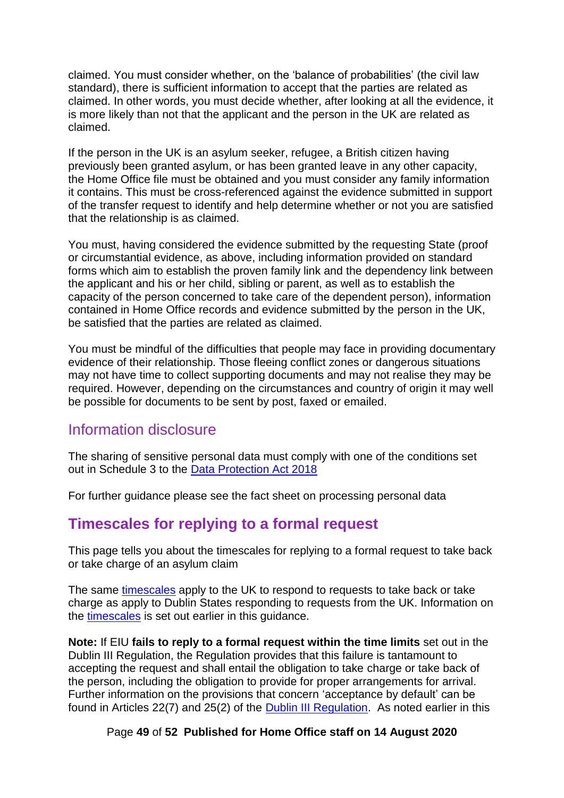claimed. You must consider whether, on the 'balance of probabilities' (the civil law standard), there is sufficient information to accept that the parties are related as claimed. In other words, you must decide whether, after looking at all the evidence, it is more likely than not that the applicant and the person in the UK are related as claimed.

If the person in the UK is an asylum seeker, refugee, a British citizen having previously been granted asylum, or has been granted leave in any other capacity, the Home Office file must be obtained and you must consider any family information it contains. This must be cross-referenced against the evidence submitted in support of the transfer request to identify and help determine whether or not you are satisfied that the relationship is as claimed.

You must, having considered the evidence submitted by the requesting State (proof or circumstantial evidence, as above, including information provided on standard forms which aim to establish the proven family link and the dependency link between the applicant and his or her child, sibling or parent, as well as to establish the capacity of the person concerned to take care of the dependent person), information contained in Home Office records and evidence submitted by the person in the UK, be satisfied that the parties are related as claimed.

You must be mindful of the difficulties that people may face in providing documentary evidence of their relationship. Those fleeing conflict zones or dangerous situations may not have time to collect supporting documents and may not realise they may be required. However, depending on the circumstances and country of origin it may well be possible for documents to be sent by post, faxed or emailed.

### <span id="page-48-0"></span>Information disclosure

The sharing of sensitive personal data must comply with one of the conditions set out in Schedule 3 to the [Data Protection Act 2018](http://www.legislation.gov.uk/ukpga/2018/12/contents/enacted)

For further guidance please see the fact sheet on processing personal data

## <span id="page-48-1"></span>**Timescales for replying to a formal request**

This page tells you about the timescales for replying to a formal request to take back or take charge of an asylum claim

The same [timescales](#page-33-1) apply to the UK to respond to requests to take back or take charge as apply to Dublin States responding to requests from the UK. Information on the [timescales](#page-33-1) is set out earlier in this guidance.

**Note:** If EIU **fails to reply to a formal request within the time limits** set out in the Dublin III Regulation, the Regulation provides that this failure is tantamount to accepting the request and shall entail the obligation to take charge or take back of the person, including the obligation to provide for proper arrangements for arrival. Further information on the provisions that concern 'acceptance by default' can be found in Articles 22(7) and 25(2) of the [Dublin III Regulation.](http://eur-lex.europa.eu/legal-content/EN/ALL/?uri=CELEX:32013R0604) As noted earlier in this

#### Page **49** of **52 Published for Home Office staff on 14 August 2020**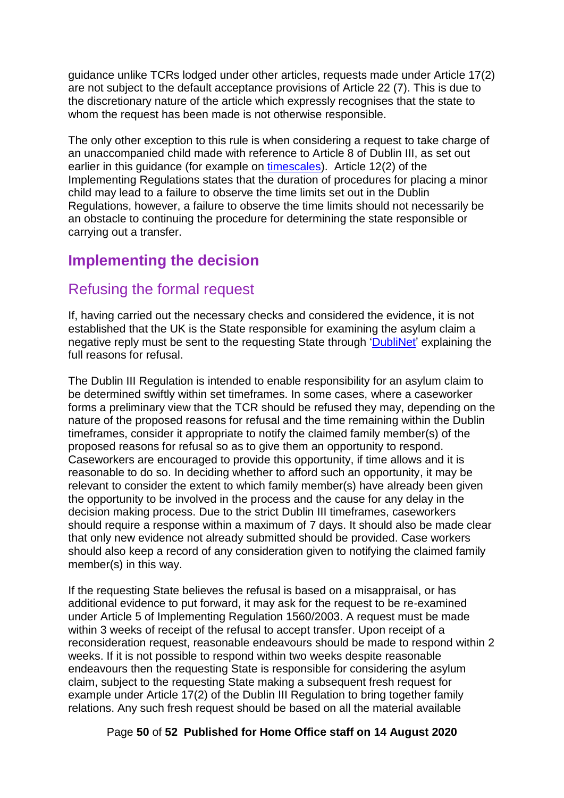guidance unlike TCRs lodged under other articles, requests made under Article 17(2) are not subject to the default acceptance provisions of Article 22 (7). This is due to the discretionary nature of the article which expressly recognises that the state to whom the request has been made is not otherwise responsible.

The only other exception to this rule is when considering a request to take charge of an unaccompanied child made with reference to Article 8 of Dublin III, as set out earlier in this guidance (for example on [timescales\)](#page-33-1). Article 12(2) of the Implementing Regulations states that the duration of procedures for placing a minor child may lead to a failure to observe the time limits set out in the Dublin Regulations, however, a failure to observe the time limits should not necessarily be an obstacle to continuing the procedure for determining the state responsible or carrying out a transfer.

# <span id="page-49-0"></span>**Implementing the decision**

### <span id="page-49-1"></span>Refusing the formal request

If, having carried out the necessary checks and considered the evidence, it is not established that the UK is the State responsible for examining the asylum claim a negative reply must be sent to the requesting State through ['DubliNet'](#page-10-0) explaining the full reasons for refusal.

The Dublin III Regulation is intended to enable responsibility for an asylum claim to be determined swiftly within set timeframes. In some cases, where a caseworker forms a preliminary view that the TCR should be refused they may, depending on the nature of the proposed reasons for refusal and the time remaining within the Dublin timeframes, consider it appropriate to notify the claimed family member(s) of the proposed reasons for refusal so as to give them an opportunity to respond. Caseworkers are encouraged to provide this opportunity, if time allows and it is reasonable to do so. In deciding whether to afford such an opportunity, it may be relevant to consider the extent to which family member(s) have already been given the opportunity to be involved in the process and the cause for any delay in the decision making process. Due to the strict Dublin III timeframes, caseworkers should require a response within a maximum of 7 days. It should also be made clear that only new evidence not already submitted should be provided. Case workers should also keep a record of any consideration given to notifying the claimed family member(s) in this way.

If the requesting State believes the refusal is based on a misappraisal, or has additional evidence to put forward, it may ask for the request to be re-examined under Article 5 of Implementing Regulation 1560/2003. A request must be made within 3 weeks of receipt of the refusal to accept transfer. Upon receipt of a reconsideration request, reasonable endeavours should be made to respond within 2 weeks. If it is not possible to respond within two weeks despite reasonable endeavours then the requesting State is responsible for considering the asylum claim, subject to the requesting State making a subsequent fresh request for example under Article 17(2) of the Dublin III Regulation to bring together family relations. Any such fresh request should be based on all the material available

#### Page **50** of **52 Published for Home Office staff on 14 August 2020**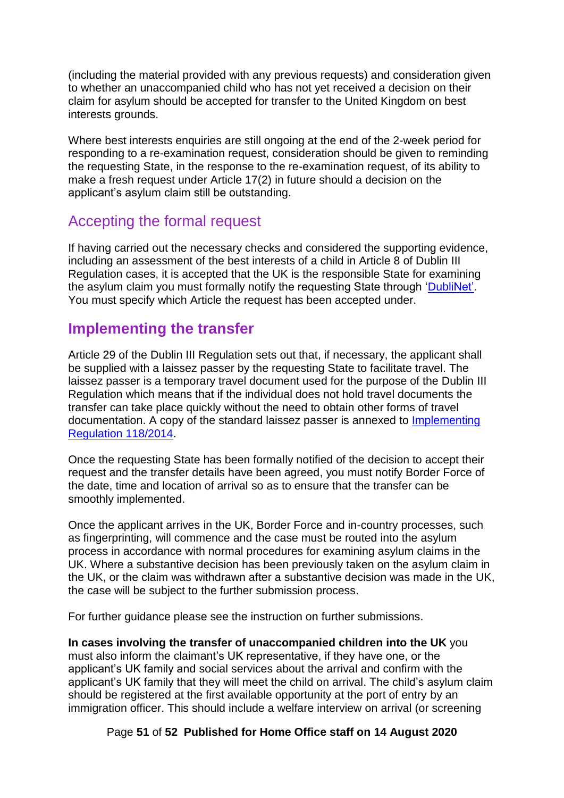(including the material provided with any previous requests) and consideration given to whether an unaccompanied child who has not yet received a decision on their claim for asylum should be accepted for transfer to the United Kingdom on best interests grounds.

Where best interests enquiries are still ongoing at the end of the 2-week period for responding to a re-examination request, consideration should be given to reminding the requesting State, in the response to the re-examination request, of its ability to make a fresh request under Article 17(2) in future should a decision on the applicant's asylum claim still be outstanding.

### <span id="page-50-0"></span>Accepting the formal request

If having carried out the necessary checks and considered the supporting evidence, including an assessment of the best interests of a child in Article 8 of Dublin III Regulation cases, it is accepted that the UK is the responsible State for examining the asylum claim you must formally notify the requesting State through ['DubliNet'.](#page-10-0) You must specify which Article the request has been accepted under.

## <span id="page-50-1"></span>**Implementing the transfer**

Article 29 of the Dublin III Regulation sets out that, if necessary, the applicant shall be supplied with a laissez passer by the requesting State to facilitate travel. The laissez passer is a temporary travel document used for the purpose of the Dublin III Regulation which means that if the individual does not hold travel documents the transfer can take place quickly without the need to obtain other forms of travel documentation. A copy of the standard laissez passer is annexed to [Implementing](http://eur-lex.europa.eu/legal-content/EN/TXT/?qid=1509610440039&uri=CELEX:32014R0118)  [Regulation 118/2014.](http://eur-lex.europa.eu/legal-content/EN/TXT/?qid=1509610440039&uri=CELEX:32014R0118)

Once the requesting State has been formally notified of the decision to accept their request and the transfer details have been agreed, you must notify Border Force of the date, time and location of arrival so as to ensure that the transfer can be smoothly implemented.

Once the applicant arrives in the UK, Border Force and in-country processes, such as fingerprinting, will commence and the case must be routed into the asylum process in accordance with normal procedures for examining asylum claims in the UK. Where a substantive decision has been previously taken on the asylum claim in the UK, or the claim was withdrawn after a substantive decision was made in the UK, the case will be subject to the further submission process.

For further guidance please see the instruction on further submissions.

**In cases involving the transfer of unaccompanied children into the UK** you must also inform the claimant's UK representative, if they have one, or the applicant's UK family and social services about the arrival and confirm with the applicant's UK family that they will meet the child on arrival. The child's asylum claim should be registered at the first available opportunity at the port of entry by an immigration officer. This should include a welfare interview on arrival (or screening

Page **51** of **52 Published for Home Office staff on 14 August 2020**